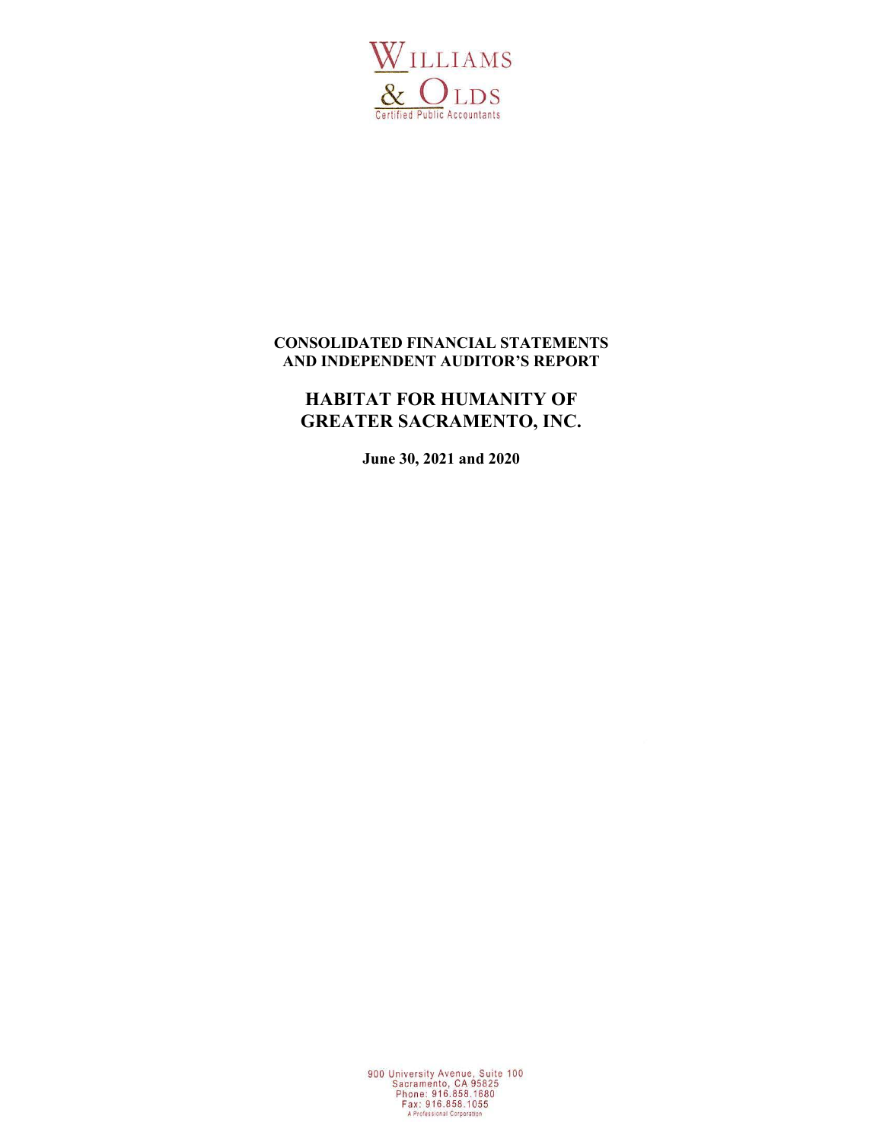

### **CONSOLIDATED FINANCIAL STATEMENTS AND INDEPENDENT AUDITOR'S REPORT**

## **HABITAT FOR HUMANITY OF GREATER SACRAMENTO, INC.**

**June 30, 2021 and 2020**

900 University Avenue, Suite 100<br>
Sacramento, CA 95825<br>
Phone: 916.858.1680<br>
Fax: 916.858.1055<br>
A Professional Corporation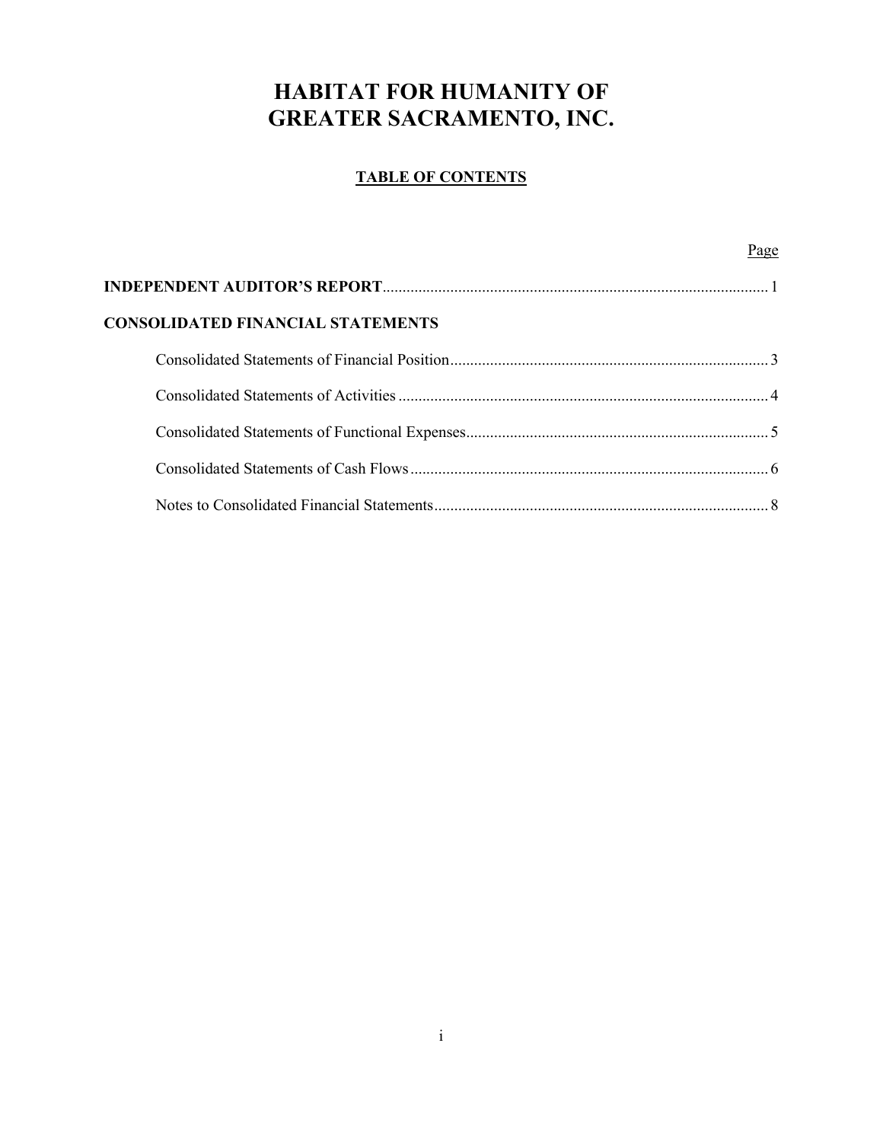### **TABLE OF CONTENTS**

|                                          | Page |
|------------------------------------------|------|
|                                          |      |
| <b>CONSOLIDATED FINANCIAL STATEMENTS</b> |      |
|                                          |      |
|                                          |      |
|                                          |      |
|                                          |      |
|                                          |      |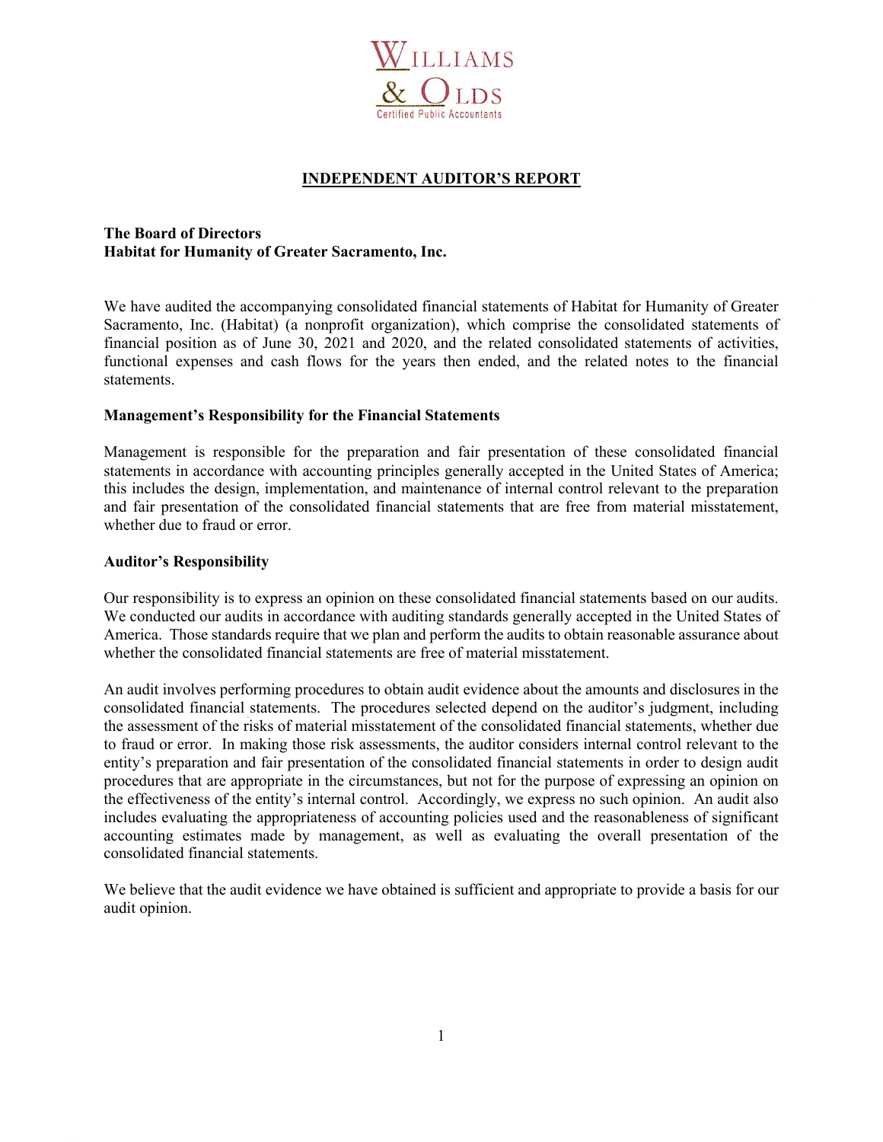

### **INDEPENDENT AUDITOR'S REPORT**

#### **The Board of Directors Habitat for Humanity of Greater Sacramento, Inc.**

We have audited the accompanying consolidated financial statements of Habitat for Humanity of Greater Sacramento, Inc. (Habitat) (a nonprofit organization), which comprise the consolidated statements of financial position as of June 30, 2021 and 2020, and the related consolidated statements of activities, functional expenses and cash flows for the years then ended, and the related notes to the financial statements.

#### **Management's Responsibility for the Financial Statements**

Management is responsible for the preparation and fair presentation of these consolidated financial statements in accordance with accounting principles generally accepted in the United States of America; this includes the design, implementation, and maintenance of internal control relevant to the preparation and fair presentation of the consolidated financial statements that are free from material misstatement, whether due to fraud or error.

#### **Auditor's Responsibility**

Our responsibility is to express an opinion on these consolidated financial statements based on our audits. We conducted our audits in accordance with auditing standards generally accepted in the United States of America. Those standards require that we plan and perform the audits to obtain reasonable assurance about whether the consolidated financial statements are free of material misstatement.

An audit involves performing procedures to obtain audit evidence about the amounts and disclosures in the consolidated financial statements. The procedures selected depend on the auditor's judgment, including the assessment of the risks of material misstatement of the consolidated financial statements, whether due to fraud or error. In making those risk assessments, the auditor considers internal control relevant to the entity's preparation and fair presentation of the consolidated financial statements in order to design audit procedures that are appropriate in the circumstances, but not for the purpose of expressing an opinion on the effectiveness of the entity's internal control. Accordingly, we express no such opinion. An audit also includes evaluating the appropriateness of accounting policies used and the reasonableness of significant accounting estimates made by management, as well as evaluating the overall presentation of the consolidated financial statements.

We believe that the audit evidence we have obtained is sufficient and appropriate to provide a basis for our audit opinion.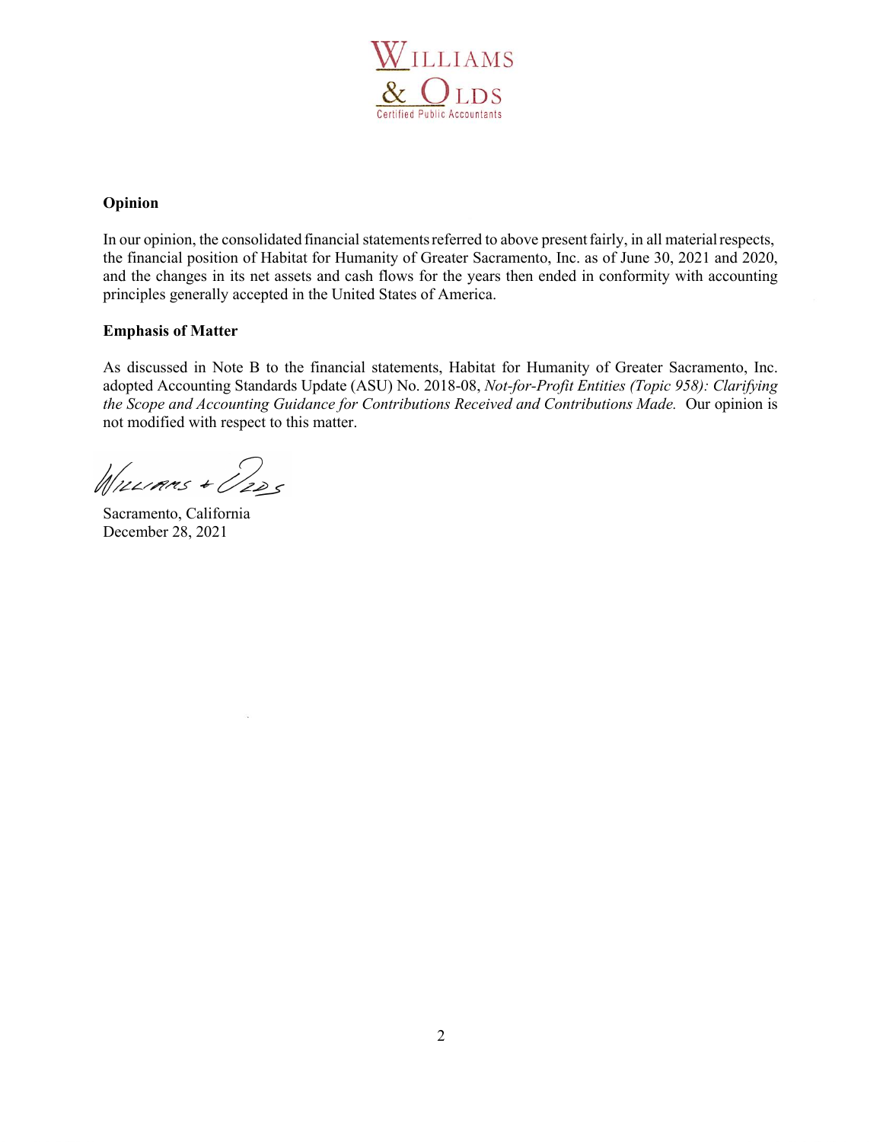

#### **Opinion**

In our opinion, the consolidated financial statements referred to above present fairly, in all material respects, the financial position of Habitat for Humanity of Greater Sacramento, Inc. as of June 30, 2021 and 2020, and the changes in its net assets and cash flows for the years then ended in conformity with accounting principles generally accepted in the United States of America.

#### **Emphasis of Matter**

As discussed in Note B to the financial statements, Habitat for Humanity of Greater Sacramento, Inc. adopted Accounting Standards Update (ASU) No. 2018-08, *Not-for-Profit Entities (Topic 958): Clarifying the Scope and Accounting Guidance for Contributions Received and Contributions Made.* Our opinion is not modified with respect to this matter.

Wiecans + O225

Sacramento, California December 28, 2021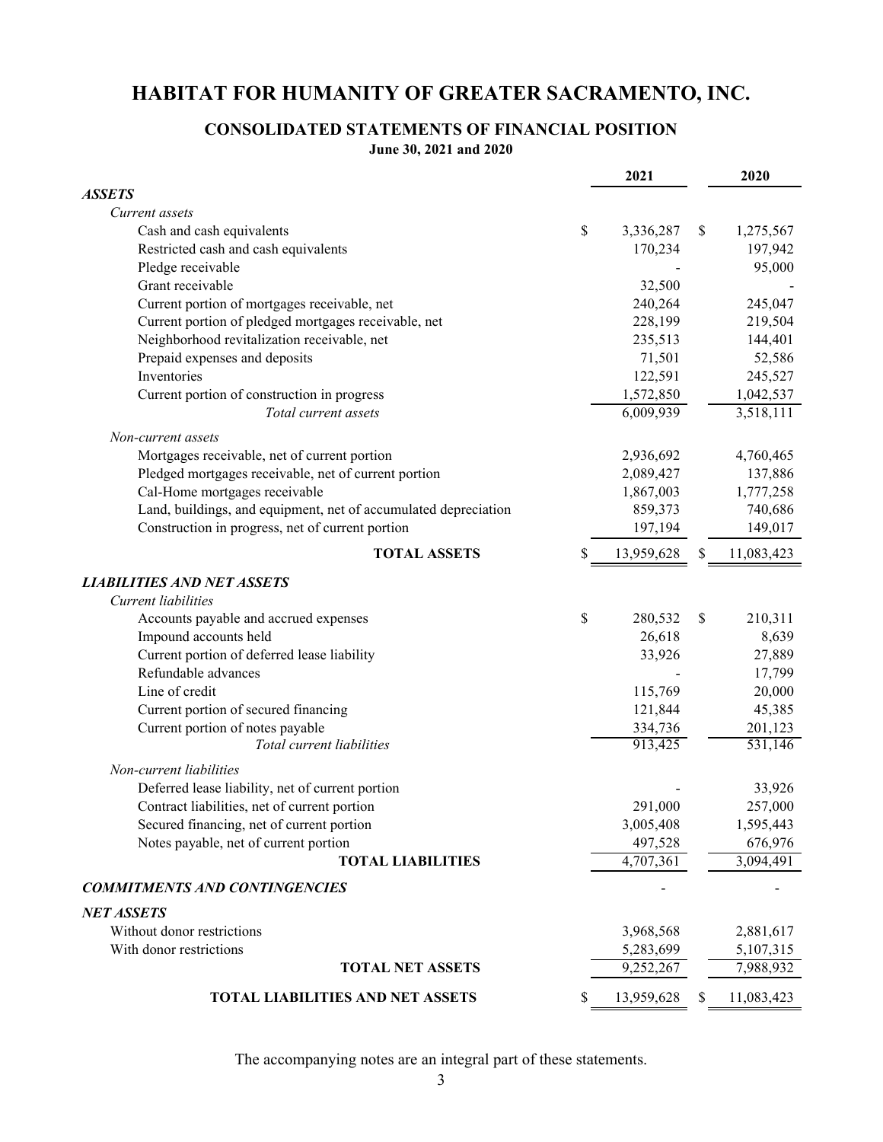## **CONSOLIDATED STATEMENTS OF FINANCIAL POSITION**

**June 30, 2021 and 2020**

|                                                                 | 2021                   |      | 2020                   |
|-----------------------------------------------------------------|------------------------|------|------------------------|
| <b>ASSETS</b>                                                   |                        |      |                        |
| Current assets                                                  |                        |      |                        |
| Cash and cash equivalents                                       | \$<br>3,336,287        | \$   | 1,275,567              |
| Restricted cash and cash equivalents                            | 170,234                |      | 197,942                |
| Pledge receivable                                               |                        |      | 95,000                 |
| Grant receivable                                                | 32,500                 |      |                        |
| Current portion of mortgages receivable, net                    | 240,264                |      | 245,047                |
| Current portion of pledged mortgages receivable, net            | 228,199                |      | 219,504                |
| Neighborhood revitalization receivable, net                     | 235,513                |      | 144,401                |
| Prepaid expenses and deposits                                   | 71,501                 |      | 52,586                 |
| Inventories                                                     | 122,591                |      | 245,527                |
| Current portion of construction in progress                     | 1,572,850              |      | 1,042,537              |
| Total current assets                                            | 6,009,939              |      | 3,518,111              |
| Non-current assets                                              |                        |      |                        |
| Mortgages receivable, net of current portion                    | 2,936,692              |      | 4,760,465              |
| Pledged mortgages receivable, net of current portion            | 2,089,427              |      | 137,886                |
| Cal-Home mortgages receivable                                   | 1,867,003              |      | 1,777,258              |
| Land, buildings, and equipment, net of accumulated depreciation | 859,373                |      | 740,686                |
| Construction in progress, net of current portion                | 197,194                |      | 149,017                |
| <b>TOTAL ASSETS</b>                                             | \$<br>13,959,628       | \$   | 11,083,423             |
| <b>LIABILITIES AND NET ASSETS</b>                               |                        |      |                        |
| Current liabilities                                             |                        |      |                        |
| Accounts payable and accrued expenses                           | \$<br>280,532          | \$   | 210,311                |
| Impound accounts held                                           | 26,618                 |      | 8,639                  |
| Current portion of deferred lease liability                     | 33,926                 |      | 27,889                 |
| Refundable advances                                             |                        |      | 17,799                 |
| Line of credit                                                  | 115,769                |      | 20,000                 |
| Current portion of secured financing                            | 121,844                |      | 45,385                 |
| Current portion of notes payable                                | 334,736                |      | 201,123                |
| Total current liabilities                                       | 913,425                |      | 531,146                |
| Non-current liabilities                                         |                        |      |                        |
| Deferred lease liability, net of current portion                |                        |      | 33,926                 |
| Contract liabilities, net of current portion                    | 291,000                |      | 257,000                |
| Secured financing, net of current portion                       | 3,005,408              |      | 1,595,443              |
| Notes payable, net of current portion                           | 497,528                |      | 676,976                |
| <b>TOTAL LIABILITIES</b>                                        | 4,707,361              |      | 3,094,491              |
| <b>COMMITMENTS AND CONTINGENCIES</b>                            |                        |      |                        |
| <b>NET ASSETS</b>                                               |                        |      |                        |
| Without donor restrictions                                      | 3,968,568              |      |                        |
| With donor restrictions                                         |                        |      | 2,881,617              |
| <b>TOTAL NET ASSETS</b>                                         | 5,283,699<br>9,252,267 |      | 5,107,315<br>7,988,932 |
| <b>TOTAL LIABILITIES AND NET ASSETS</b>                         | \$<br>13,959,628       | $\$$ | 11,083,423             |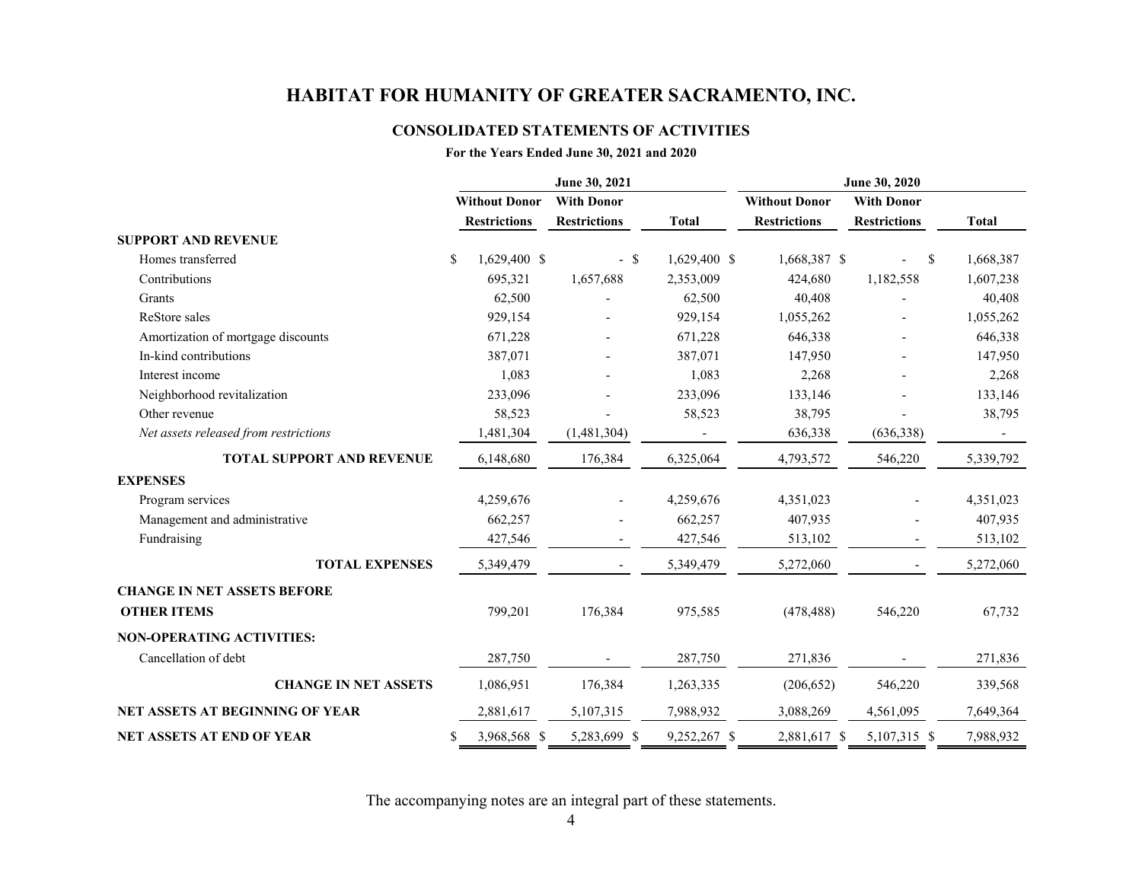#### **CONSOLIDATED STATEMENTS OF ACTIVITIES**

#### **For the Years Ended June 30, 2021 and 2020**

|                                       | June 30, 2021 |                      |                          | June 30, 2020 |                      |                     |              |  |
|---------------------------------------|---------------|----------------------|--------------------------|---------------|----------------------|---------------------|--------------|--|
|                                       |               | <b>Without Donor</b> | <b>With Donor</b>        |               | <b>Without Donor</b> | <b>With Donor</b>   |              |  |
|                                       |               | <b>Restrictions</b>  | <b>Restrictions</b>      | <b>Total</b>  | <b>Restrictions</b>  | <b>Restrictions</b> | <b>Total</b> |  |
| <b>SUPPORT AND REVENUE</b>            |               |                      |                          |               |                      |                     |              |  |
| Homes transferred                     | S.            | 1,629,400 \$         | $-$ \$                   | 1,629,400 \$  | 1,668,387 \$         | S.                  | 1,668,387    |  |
| Contributions                         |               | 695,321              | 1,657,688                | 2,353,009     | 424,680              | 1,182,558           | 1,607,238    |  |
| Grants                                |               | 62,500               |                          | 62,500        | 40,408               |                     | 40,408       |  |
| ReStore sales                         |               | 929,154              |                          | 929,154       | 1,055,262            |                     | 1,055,262    |  |
| Amortization of mortgage discounts    |               | 671,228              |                          | 671,228       | 646,338              |                     | 646,338      |  |
| In-kind contributions                 |               | 387,071              |                          | 387,071       | 147,950              |                     | 147,950      |  |
| Interest income                       |               | 1,083                |                          | 1,083         | 2,268                |                     | 2,268        |  |
| Neighborhood revitalization           |               | 233,096              |                          | 233,096       | 133,146              |                     | 133,146      |  |
| Other revenue                         |               | 58,523               |                          | 58,523        | 38,795               |                     | 38,795       |  |
| Net assets released from restrictions |               | 1,481,304            | (1,481,304)              |               | 636,338              | (636, 338)          |              |  |
| <b>TOTAL SUPPORT AND REVENUE</b>      |               | 6,148,680            | 176,384                  | 6,325,064     | 4,793,572            | 546,220             | 5,339,792    |  |
| <b>EXPENSES</b>                       |               |                      |                          |               |                      |                     |              |  |
| Program services                      |               | 4,259,676            | $\overline{\phantom{a}}$ | 4,259,676     | 4,351,023            |                     | 4,351,023    |  |
| Management and administrative         |               | 662,257              |                          | 662,257       | 407,935              |                     | 407,935      |  |
| Fundraising                           |               | 427,546              |                          | 427,546       | 513,102              |                     | 513,102      |  |
| <b>TOTAL EXPENSES</b>                 |               | 5,349,479            |                          | 5,349,479     | 5,272,060            |                     | 5,272,060    |  |
| <b>CHANGE IN NET ASSETS BEFORE</b>    |               |                      |                          |               |                      |                     |              |  |
| <b>OTHER ITEMS</b>                    |               | 799,201              | 176,384                  | 975,585       | (478, 488)           | 546,220             | 67,732       |  |
| <b>NON-OPERATING ACTIVITIES:</b>      |               |                      |                          |               |                      |                     |              |  |
| Cancellation of debt                  |               | 287,750              |                          | 287,750       | 271,836              |                     | 271,836      |  |
| <b>CHANGE IN NET ASSETS</b>           |               | 1,086,951            | 176,384                  | 1,263,335     | (206, 652)           | 546,220             | 339,568      |  |
| NET ASSETS AT BEGINNING OF YEAR       |               | 2,881,617            | 5,107,315                | 7,988,932     | 3,088,269            | 4,561,095           | 7,649,364    |  |
| <b>NET ASSETS AT END OF YEAR</b>      |               | 3,968,568 \$         | 5,283,699 \$             | 9,252,267 \$  | 2,881,617 \$         | 5,107,315 \$        | 7,988,932    |  |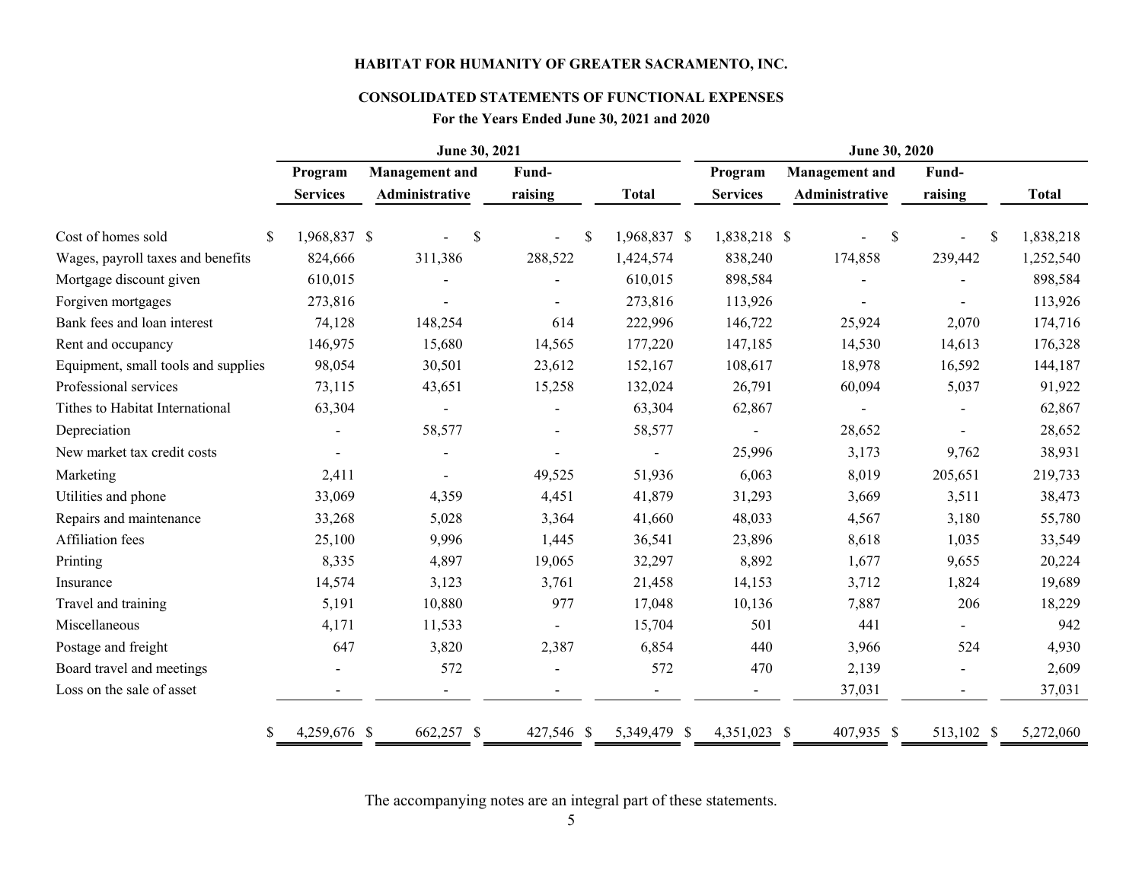#### **CONSOLIDATED STATEMENTS OF FUNCTIONAL EXPENSES**

**For the Years Ended June 30, 2021 and 2020**

|                                     |                 | June 30, 2021                 |                |                            | June 30, 2020   |                                |            |              |  |
|-------------------------------------|-----------------|-------------------------------|----------------|----------------------------|-----------------|--------------------------------|------------|--------------|--|
|                                     | Program         | <b>Management</b> and         | Fund-          |                            | Program         | <b>Management</b> and          | Fund-      |              |  |
|                                     | <b>Services</b> | Administrative                | raising        | <b>Total</b>               | <b>Services</b> | Administrative                 | raising    | <b>Total</b> |  |
| Cost of homes sold<br>\$            | 1,968,837 \$    | $\mathbb S$<br>$\overline{a}$ | \$             | 1,968,837 \$               | 1,838,218 \$    | \$<br>$\overline{\phantom{a}}$ | \$         | 1,838,218    |  |
| Wages, payroll taxes and benefits   | 824,666         | 311,386                       | 288,522        | 1,424,574                  | 838,240         | 174,858                        | 239,442    | 1,252,540    |  |
| Mortgage discount given             | 610,015         |                               |                | 610,015                    | 898,584         |                                |            | 898,584      |  |
| Forgiven mortgages                  | 273,816         |                               | $\blacksquare$ | 273,816                    | 113,926         |                                |            | 113,926      |  |
| Bank fees and loan interest         | 74,128          | 148,254                       | 614            | 222,996                    | 146,722         | 25,924                         | 2,070      | 174,716      |  |
| Rent and occupancy                  | 146,975         | 15,680                        | 14,565         | 177,220                    | 147,185         | 14,530                         | 14,613     | 176,328      |  |
| Equipment, small tools and supplies | 98,054          | 30,501                        | 23,612         | 152,167                    | 108,617         | 18,978                         | 16,592     | 144,187      |  |
| Professional services               | 73,115          | 43,651                        | 15,258         | 132,024                    | 26,791          | 60,094                         | 5,037      | 91,922       |  |
| Tithes to Habitat International     | 63,304          |                               |                | 63,304                     | 62,867          |                                |            | 62,867       |  |
| Depreciation                        |                 | 58,577                        |                | 58,577                     |                 | 28,652                         |            | 28,652       |  |
| New market tax credit costs         |                 |                               |                |                            | 25,996          | 3,173                          | 9,762      | 38,931       |  |
| Marketing                           | 2,411           |                               | 49,525         | 51,936                     | 6,063           | 8,019                          | 205,651    | 219,733      |  |
| Utilities and phone                 | 33,069          | 4,359                         | 4,451          | 41,879                     | 31,293          | 3,669                          | 3,511      | 38,473       |  |
| Repairs and maintenance             | 33,268          | 5,028                         | 3,364          | 41,660                     | 48,033          | 4,567                          | 3,180      | 55,780       |  |
| Affiliation fees                    | 25,100          | 9,996                         | 1,445          | 36,541                     | 23,896          | 8,618                          | 1,035      | 33,549       |  |
| Printing                            | 8,335           | 4,897                         | 19,065         | 32,297                     | 8,892           | 1,677                          | 9,655      | 20,224       |  |
| Insurance                           | 14,574          | 3,123                         | 3,761          | 21,458                     | 14,153          | 3,712                          | 1,824      | 19,689       |  |
| Travel and training                 | 5,191           | 10,880                        | 977            | 17,048                     | 10,136          | 7,887                          | 206        | 18,229       |  |
| Miscellaneous                       | 4,171           | 11,533                        |                | 15,704                     | 501             | 441                            |            | 942          |  |
| Postage and freight                 | 647             | 3,820                         | 2,387          | 6,854                      | 440             | 3,966                          | 524        | 4,930        |  |
| Board travel and meetings           |                 | 572                           |                | 572                        | 470             | 2,139                          |            | 2,609        |  |
| Loss on the sale of asset           |                 |                               |                |                            |                 | 37,031                         |            | 37,031       |  |
| \$                                  | 4,259,676 \$    | 662,257 \$                    | 427,546 \$     | 5,349,479<br><sup>\$</sup> | 4,351,023 \$    | 407,935 \$                     | 513,102 \$ | 5,272,060    |  |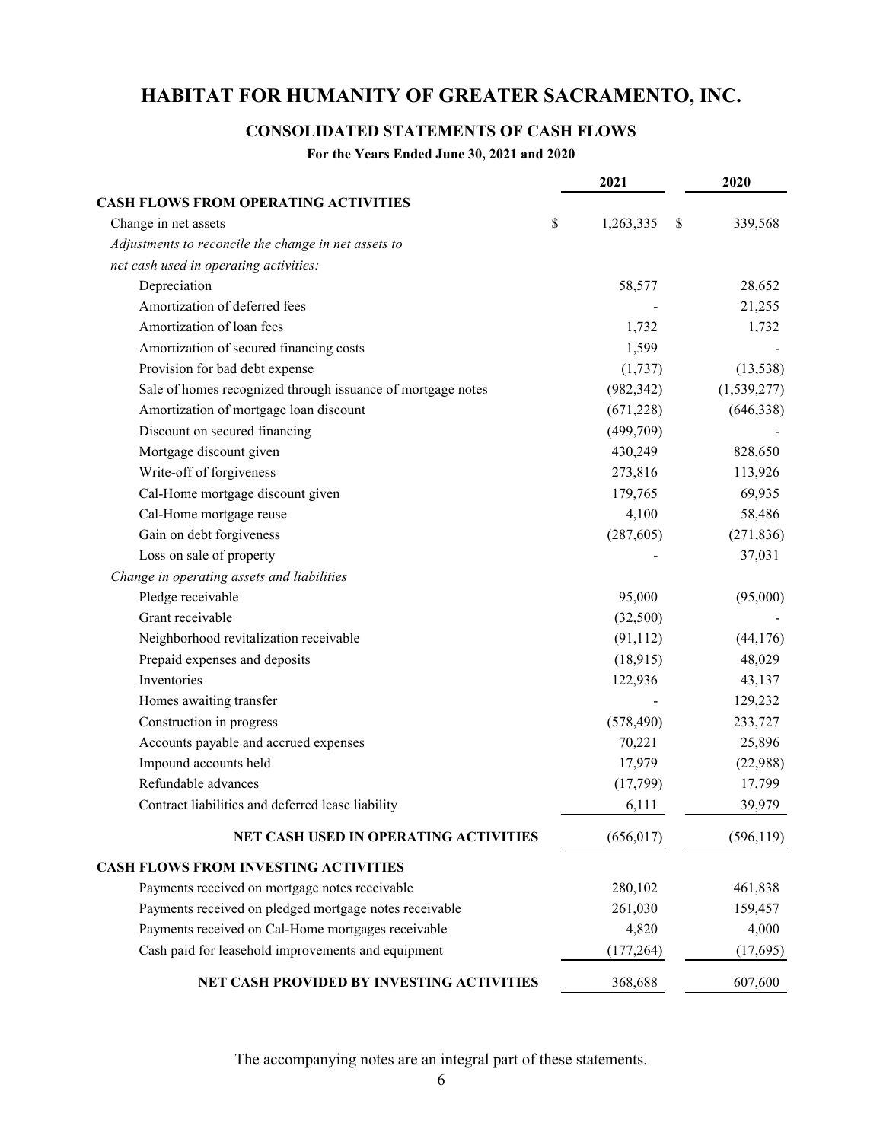### **CONSOLIDATED STATEMENTS OF CASH FLOWS**

**For the Years Ended June 30, 2021 and 2020**

|                                                             | 2021           | 2020        |
|-------------------------------------------------------------|----------------|-------------|
| <b>CASH FLOWS FROM OPERATING ACTIVITIES</b>                 |                |             |
| Change in net assets<br>\$                                  | 1,263,335<br>S | 339,568     |
| Adjustments to reconcile the change in net assets to        |                |             |
| net cash used in operating activities:                      |                |             |
| Depreciation                                                | 58,577         | 28,652      |
| Amortization of deferred fees                               |                | 21,255      |
| Amortization of loan fees                                   | 1,732          | 1,732       |
| Amortization of secured financing costs                     | 1,599          |             |
| Provision for bad debt expense                              | (1,737)        | (13, 538)   |
| Sale of homes recognized through issuance of mortgage notes | (982, 342)     | (1,539,277) |
| Amortization of mortgage loan discount                      | (671, 228)     | (646, 338)  |
| Discount on secured financing                               | (499,709)      |             |
| Mortgage discount given                                     | 430,249        | 828,650     |
| Write-off of forgiveness                                    | 273,816        | 113,926     |
| Cal-Home mortgage discount given                            | 179,765        | 69,935      |
| Cal-Home mortgage reuse                                     | 4,100          | 58,486      |
| Gain on debt forgiveness                                    | (287, 605)     | (271, 836)  |
| Loss on sale of property                                    |                | 37,031      |
| Change in operating assets and liabilities                  |                |             |
| Pledge receivable                                           | 95,000         | (95,000)    |
| Grant receivable                                            | (32,500)       |             |
| Neighborhood revitalization receivable                      | (91, 112)      | (44, 176)   |
| Prepaid expenses and deposits                               | (18, 915)      | 48,029      |
| Inventories                                                 | 122,936        | 43,137      |
| Homes awaiting transfer                                     |                | 129,232     |
| Construction in progress                                    | (578, 490)     | 233,727     |
| Accounts payable and accrued expenses                       | 70,221         | 25,896      |
| Impound accounts held                                       | 17,979         | (22,988)    |
| Refundable advances                                         | (17,799)       | 17,799      |
| Contract liabilities and deferred lease liability           | 6,111          | 39,979      |
| NET CASH USED IN OPERATING ACTIVITIES                       | (656, 017)     | (596, 119)  |
| <b>CASH FLOWS FROM INVESTING ACTIVITIES</b>                 |                |             |
| Payments received on mortgage notes receivable              | 280,102        | 461,838     |
| Payments received on pledged mortgage notes receivable      | 261,030        | 159,457     |
| Payments received on Cal-Home mortgages receivable          | 4,820          | 4,000       |
| Cash paid for leasehold improvements and equipment          | (177, 264)     | (17,695)    |
| NET CASH PROVIDED BY INVESTING ACTIVITIES                   | 368,688        | 607,600     |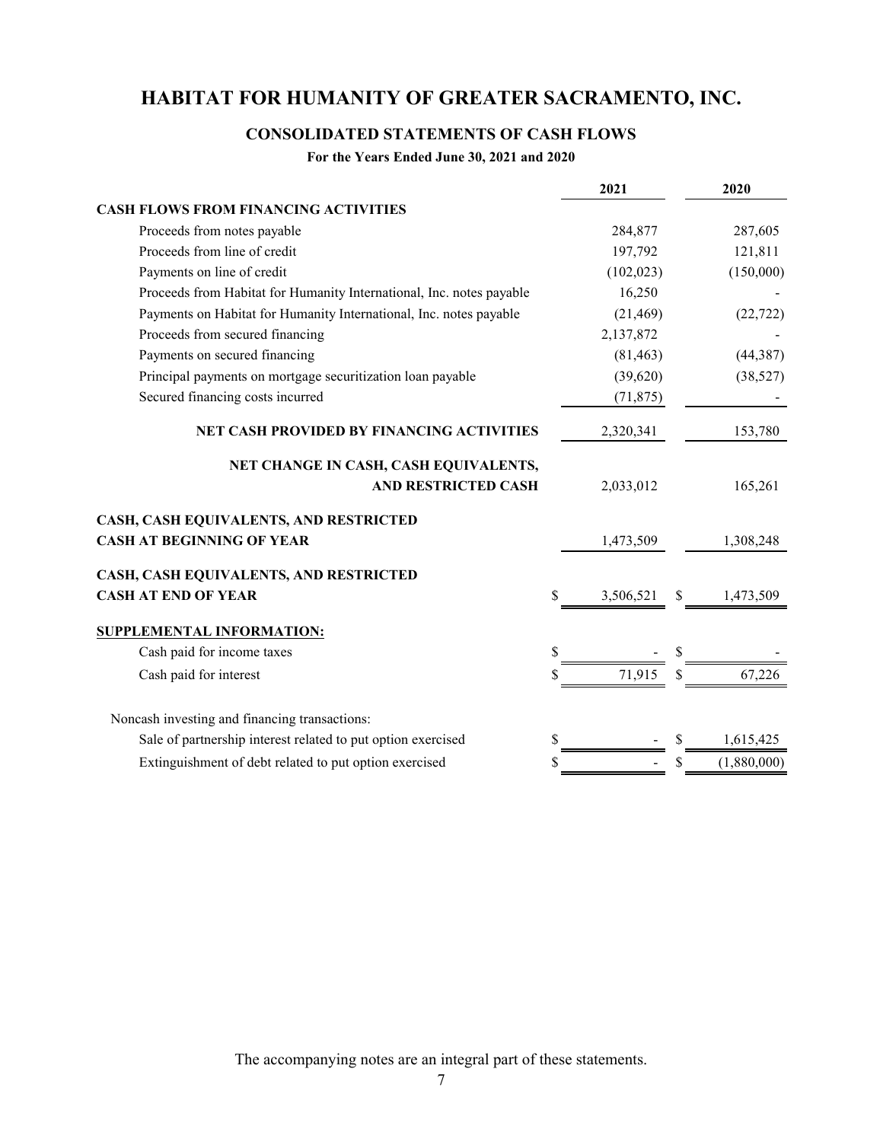#### **CONSOLIDATED STATEMENTS OF CASH FLOWS**

**For the Years Ended June 30, 2021 and 2020**

|                                                                      | 2021       |               | 2020        |
|----------------------------------------------------------------------|------------|---------------|-------------|
| <b>CASH FLOWS FROM FINANCING ACTIVITIES</b>                          |            |               |             |
| Proceeds from notes payable                                          | 284,877    |               | 287,605     |
| Proceeds from line of credit                                         | 197,792    |               | 121,811     |
| Payments on line of credit                                           | (102, 023) |               | (150,000)   |
| Proceeds from Habitat for Humanity International, Inc. notes payable | 16,250     |               |             |
| Payments on Habitat for Humanity International, Inc. notes payable   | (21, 469)  |               | (22, 722)   |
| Proceeds from secured financing                                      | 2,137,872  |               |             |
| Payments on secured financing                                        | (81, 463)  |               | (44, 387)   |
| Principal payments on mortgage securitization loan payable           | (39,620)   |               | (38, 527)   |
| Secured financing costs incurred                                     | (71, 875)  |               |             |
| <b>NET CASH PROVIDED BY FINANCING ACTIVITIES</b>                     | 2,320,341  |               | 153,780     |
| NET CHANGE IN CASH, CASH EQUIVALENTS,                                |            |               |             |
| <b>AND RESTRICTED CASH</b>                                           | 2,033,012  |               | 165,261     |
| CASH, CASH EQUIVALENTS, AND RESTRICTED                               |            |               |             |
| <b>CASH AT BEGINNING OF YEAR</b>                                     | 1,473,509  |               | 1,308,248   |
| CASH, CASH EQUIVALENTS, AND RESTRICTED                               |            |               |             |
| <b>CASH AT END OF YEAR</b><br>\$                                     | 3,506,521  | <sup>\$</sup> | 1,473,509   |
| SUPPLEMENTAL INFORMATION:                                            |            |               |             |
| Cash paid for income taxes<br>\$.                                    |            |               |             |
| Cash paid for interest<br>\$                                         | 71,915     | S             | 67,226      |
| Noncash investing and financing transactions:                        |            |               |             |
| Sale of partnership interest related to put option exercised<br>\$   |            |               | 1,615,425   |
| Extinguishment of debt related to put option exercised<br>\$         |            |               | (1,880,000) |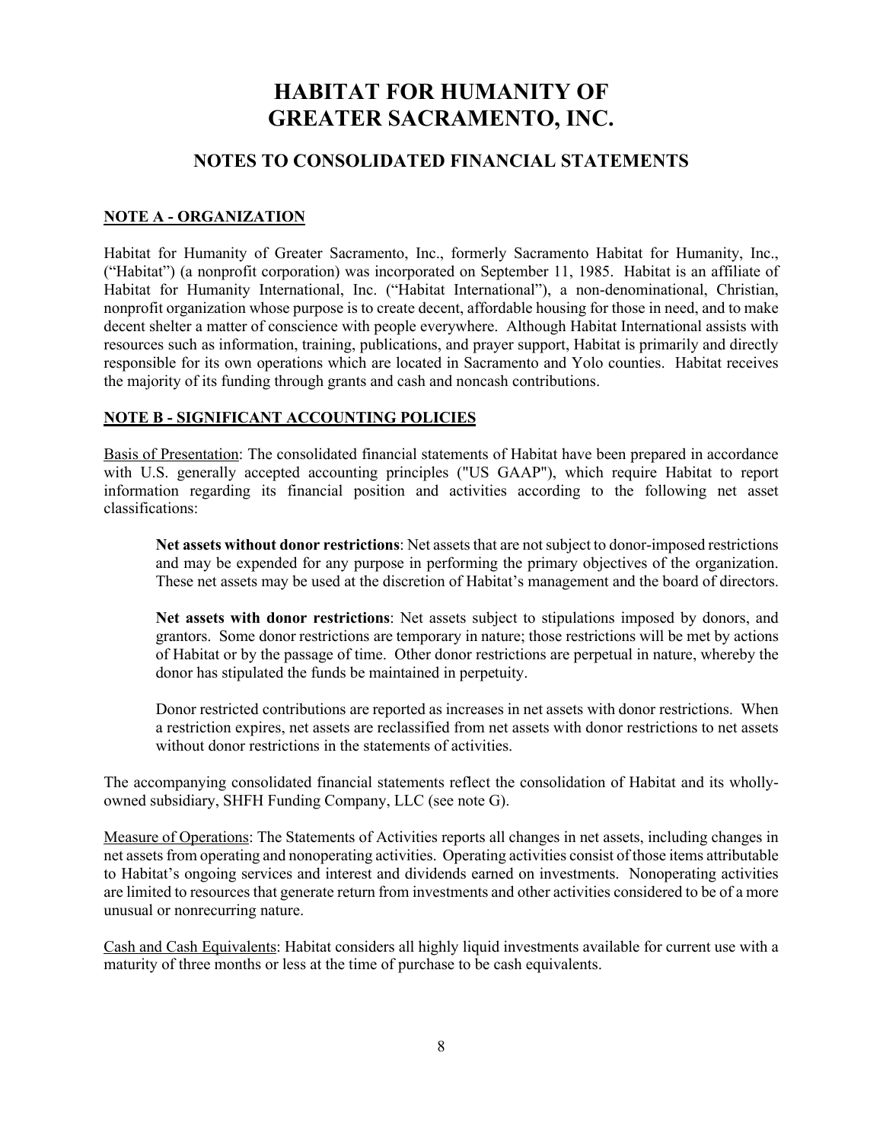### **NOTES TO CONSOLIDATED FINANCIAL STATEMENTS**

#### **NOTE A - ORGANIZATION**

Habitat for Humanity of Greater Sacramento, Inc., formerly Sacramento Habitat for Humanity, Inc., ("Habitat") (a nonprofit corporation) was incorporated on September 11, 1985. Habitat is an affiliate of Habitat for Humanity International, Inc. ("Habitat International"), a non-denominational, Christian, nonprofit organization whose purpose is to create decent, affordable housing for those in need, and to make decent shelter a matter of conscience with people everywhere. Although Habitat International assists with resources such as information, training, publications, and prayer support, Habitat is primarily and directly responsible for its own operations which are located in Sacramento and Yolo counties. Habitat receives the majority of its funding through grants and cash and noncash contributions.

#### **NOTE B - SIGNIFICANT ACCOUNTING POLICIES**

Basis of Presentation: The consolidated financial statements of Habitat have been prepared in accordance with U.S. generally accepted accounting principles ("US GAAP"), which require Habitat to report information regarding its financial position and activities according to the following net asset classifications:

**Net assets without donor restrictions**: Net assets that are not subject to donor-imposed restrictions and may be expended for any purpose in performing the primary objectives of the organization. These net assets may be used at the discretion of Habitat's management and the board of directors.

**Net assets with donor restrictions**: Net assets subject to stipulations imposed by donors, and grantors. Some donor restrictions are temporary in nature; those restrictions will be met by actions of Habitat or by the passage of time. Other donor restrictions are perpetual in nature, whereby the donor has stipulated the funds be maintained in perpetuity.

Donor restricted contributions are reported as increases in net assets with donor restrictions. When a restriction expires, net assets are reclassified from net assets with donor restrictions to net assets without donor restrictions in the statements of activities.

The accompanying consolidated financial statements reflect the consolidation of Habitat and its whollyowned subsidiary, SHFH Funding Company, LLC (see note G).

Measure of Operations: The Statements of Activities reports all changes in net assets, including changes in net assets from operating and nonoperating activities. Operating activities consist of those items attributable to Habitat's ongoing services and interest and dividends earned on investments. Nonoperating activities are limited to resources that generate return from investments and other activities considered to be of a more unusual or nonrecurring nature.

Cash and Cash Equivalents: Habitat considers all highly liquid investments available for current use with a maturity of three months or less at the time of purchase to be cash equivalents.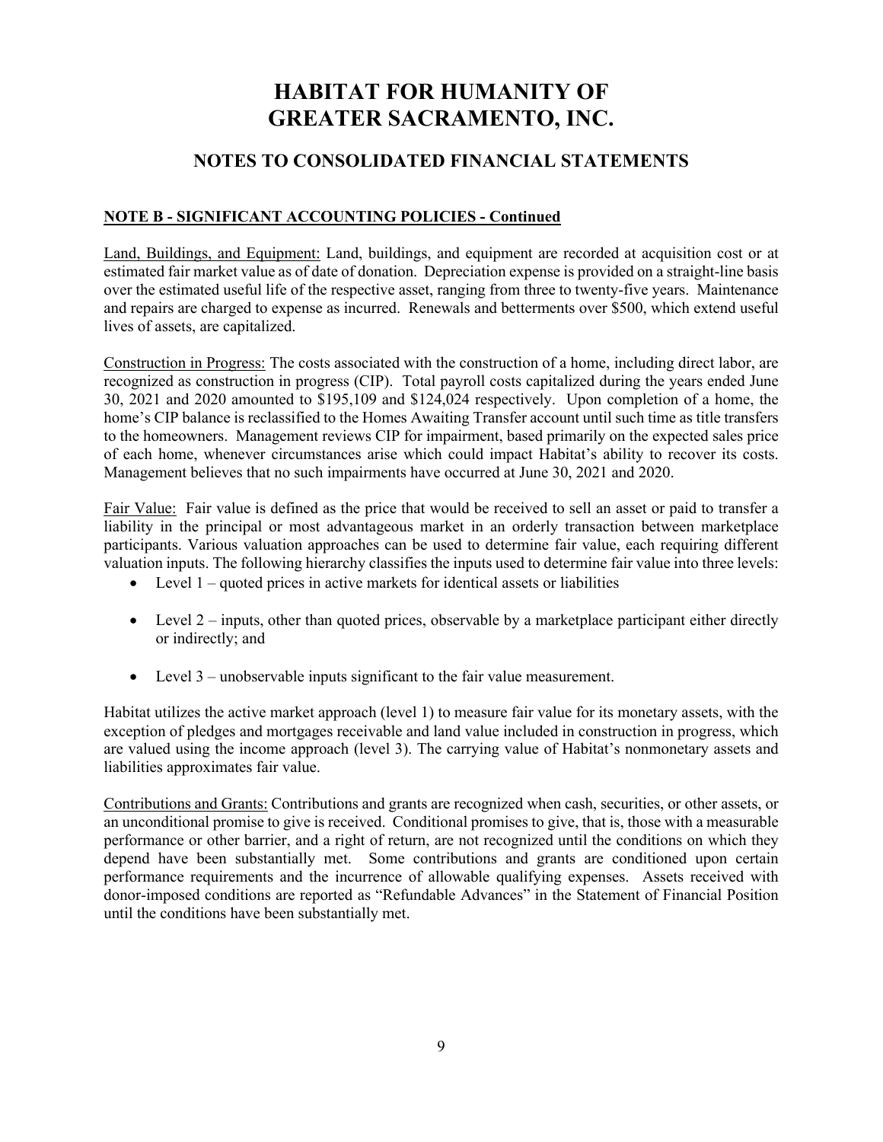### **NOTES TO CONSOLIDATED FINANCIAL STATEMENTS**

#### **NOTE B - SIGNIFICANT ACCOUNTING POLICIES - Continued**

Land, Buildings, and Equipment: Land, buildings, and equipment are recorded at acquisition cost or at estimated fair market value as of date of donation. Depreciation expense is provided on a straight-line basis over the estimated useful life of the respective asset, ranging from three to twenty-five years. Maintenance and repairs are charged to expense as incurred. Renewals and betterments over \$500, which extend useful lives of assets, are capitalized.

Construction in Progress: The costs associated with the construction of a home, including direct labor, are recognized as construction in progress (CIP). Total payroll costs capitalized during the years ended June 30, 2021 and 2020 amounted to \$195,109 and \$124,024 respectively. Upon completion of a home, the home's CIP balance is reclassified to the Homes Awaiting Transfer account until such time as title transfers to the homeowners. Management reviews CIP for impairment, based primarily on the expected sales price of each home, whenever circumstances arise which could impact Habitat's ability to recover its costs. Management believes that no such impairments have occurred at June 30, 2021 and 2020.

Fair Value: Fair value is defined as the price that would be received to sell an asset or paid to transfer a liability in the principal or most advantageous market in an orderly transaction between marketplace participants. Various valuation approaches can be used to determine fair value, each requiring different valuation inputs. The following hierarchy classifies the inputs used to determine fair value into three levels:

- $\bullet$  Level 1 quoted prices in active markets for identical assets or liabilities
- $\bullet$  Level 2 inputs, other than quoted prices, observable by a marketplace participant either directly or indirectly; and
- Level 3 unobservable inputs significant to the fair value measurement.

Habitat utilizes the active market approach (level 1) to measure fair value for its monetary assets, with the exception of pledges and mortgages receivable and land value included in construction in progress, which are valued using the income approach (level 3). The carrying value of Habitat's nonmonetary assets and liabilities approximates fair value.

Contributions and Grants: Contributions and grants are recognized when cash, securities, or other assets, or an unconditional promise to give is received. Conditional promises to give, that is, those with a measurable performance or other barrier, and a right of return, are not recognized until the conditions on which they depend have been substantially met. Some contributions and grants are conditioned upon certain performance requirements and the incurrence of allowable qualifying expenses. Assets received with donor-imposed conditions are reported as "Refundable Advances" in the Statement of Financial Position until the conditions have been substantially met.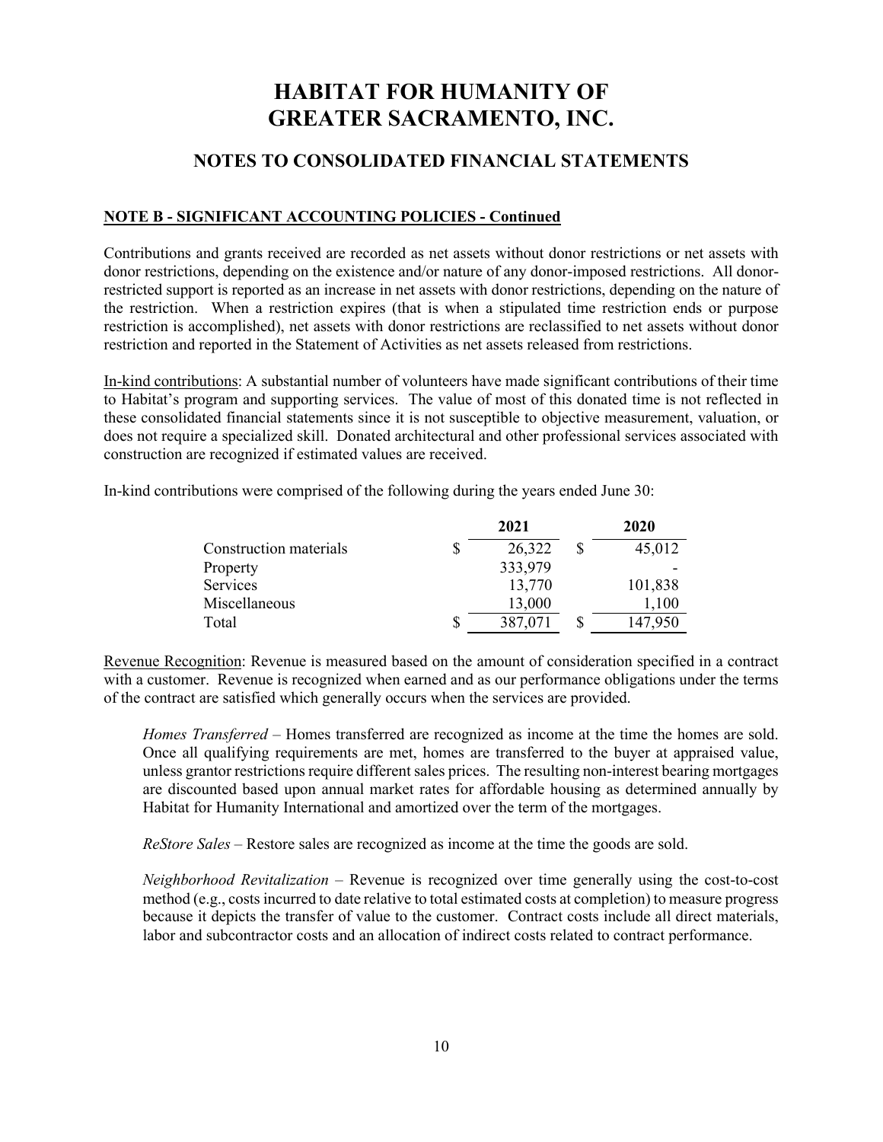### **NOTES TO CONSOLIDATED FINANCIAL STATEMENTS**

#### **NOTE B - SIGNIFICANT ACCOUNTING POLICIES - Continued**

Contributions and grants received are recorded as net assets without donor restrictions or net assets with donor restrictions, depending on the existence and/or nature of any donor-imposed restrictions. All donorrestricted support is reported as an increase in net assets with donor restrictions, depending on the nature of the restriction. When a restriction expires (that is when a stipulated time restriction ends or purpose restriction is accomplished), net assets with donor restrictions are reclassified to net assets without donor restriction and reported in the Statement of Activities as net assets released from restrictions.

In-kind contributions: A substantial number of volunteers have made significant contributions of their time to Habitat's program and supporting services. The value of most of this donated time is not reflected in these consolidated financial statements since it is not susceptible to objective measurement, valuation, or does not require a specialized skill. Donated architectural and other professional services associated with construction are recognized if estimated values are received.

In-kind contributions were comprised of the following during the years ended June 30:

|                        | 2021    | 2020    |
|------------------------|---------|---------|
| Construction materials | 26,322  | 45,012  |
| Property               | 333,979 |         |
| Services               | 13,770  | 101,838 |
| Miscellaneous          | 13,000  | 1,100   |
| Total                  | 387,071 | 147,950 |

Revenue Recognition: Revenue is measured based on the amount of consideration specified in a contract with a customer. Revenue is recognized when earned and as our performance obligations under the terms of the contract are satisfied which generally occurs when the services are provided.

*Homes Transferred* – Homes transferred are recognized as income at the time the homes are sold. Once all qualifying requirements are met, homes are transferred to the buyer at appraised value, unless grantor restrictions require different sales prices. The resulting non-interest bearing mortgages are discounted based upon annual market rates for affordable housing as determined annually by Habitat for Humanity International and amortized over the term of the mortgages.

*ReStore Sales –* Restore sales are recognized as income at the time the goods are sold.

*Neighborhood Revitalization –* Revenue is recognized over time generally using the cost-to-cost method (e.g., costs incurred to date relative to total estimated costs at completion) to measure progress because it depicts the transfer of value to the customer. Contract costs include all direct materials, labor and subcontractor costs and an allocation of indirect costs related to contract performance.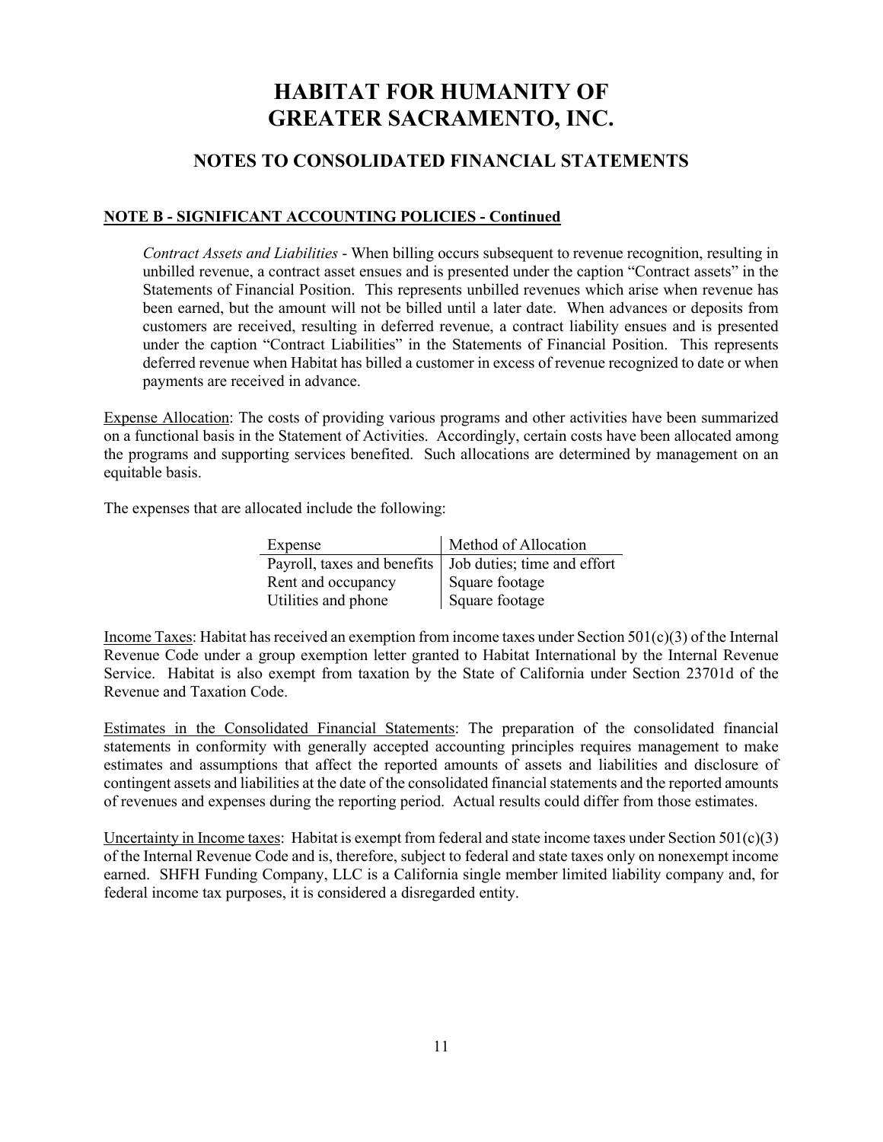### **NOTES TO CONSOLIDATED FINANCIAL STATEMENTS**

#### **NOTE B - SIGNIFICANT ACCOUNTING POLICIES - Continued**

*Contract Assets and Liabilities* - When billing occurs subsequent to revenue recognition, resulting in unbilled revenue, a contract asset ensues and is presented under the caption "Contract assets" in the Statements of Financial Position. This represents unbilled revenues which arise when revenue has been earned, but the amount will not be billed until a later date. When advances or deposits from customers are received, resulting in deferred revenue, a contract liability ensues and is presented under the caption "Contract Liabilities" in the Statements of Financial Position. This represents deferred revenue when Habitat has billed a customer in excess of revenue recognized to date or when payments are received in advance.

Expense Allocation: The costs of providing various programs and other activities have been summarized on a functional basis in the Statement of Activities. Accordingly, certain costs have been allocated among the programs and supporting services benefited. Such allocations are determined by management on an equitable basis.

The expenses that are allocated include the following:

| Expense                     | Method of Allocation        |
|-----------------------------|-----------------------------|
| Payroll, taxes and benefits | Job duties; time and effort |
| Rent and occupancy          | Square footage              |
| Utilities and phone         | Square footage              |

Income Taxes: Habitat has received an exemption from income taxes under Section  $501(c)(3)$  of the Internal Revenue Code under a group exemption letter granted to Habitat International by the Internal Revenue Service. Habitat is also exempt from taxation by the State of California under Section 23701d of the Revenue and Taxation Code.

Estimates in the Consolidated Financial Statements: The preparation of the consolidated financial statements in conformity with generally accepted accounting principles requires management to make estimates and assumptions that affect the reported amounts of assets and liabilities and disclosure of contingent assets and liabilities at the date of the consolidated financial statements and the reported amounts of revenues and expenses during the reporting period. Actual results could differ from those estimates.

Uncertainty in Income taxes: Habitat is exempt from federal and state income taxes under Section  $501(c)(3)$ of the Internal Revenue Code and is, therefore, subject to federal and state taxes only on nonexempt income earned. SHFH Funding Company, LLC is a California single member limited liability company and, for federal income tax purposes, it is considered a disregarded entity.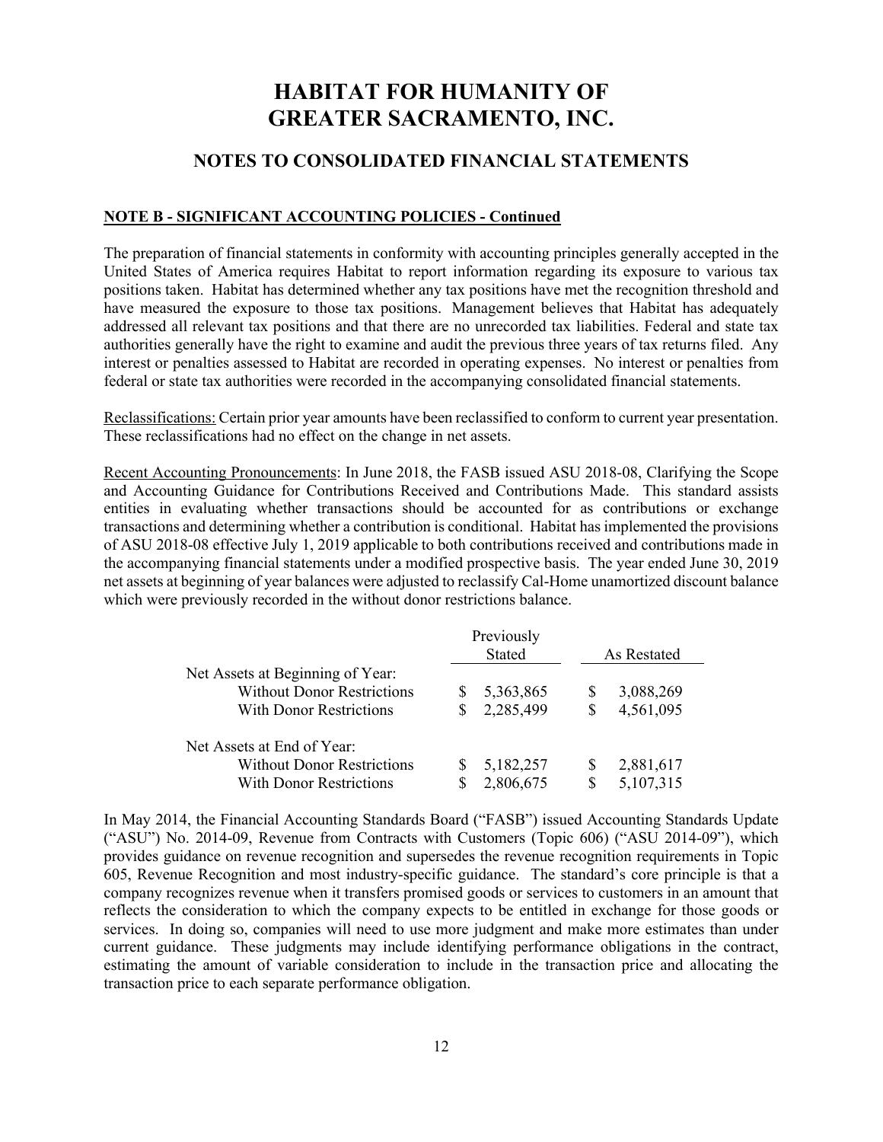### **NOTES TO CONSOLIDATED FINANCIAL STATEMENTS**

### **NOTE B - SIGNIFICANT ACCOUNTING POLICIES - Continued**

The preparation of financial statements in conformity with accounting principles generally accepted in the United States of America requires Habitat to report information regarding its exposure to various tax positions taken. Habitat has determined whether any tax positions have met the recognition threshold and have measured the exposure to those tax positions. Management believes that Habitat has adequately addressed all relevant tax positions and that there are no unrecorded tax liabilities. Federal and state tax authorities generally have the right to examine and audit the previous three years of tax returns filed. Any interest or penalties assessed to Habitat are recorded in operating expenses. No interest or penalties from federal or state tax authorities were recorded in the accompanying consolidated financial statements.

Reclassifications: Certain prior year amounts have been reclassified to conform to current year presentation. These reclassifications had no effect on the change in net assets.

Recent Accounting Pronouncements: In June 2018, the FASB issued ASU 2018-08, Clarifying the Scope and Accounting Guidance for Contributions Received and Contributions Made. This standard assists entities in evaluating whether transactions should be accounted for as contributions or exchange transactions and determining whether a contribution is conditional. Habitat has implemented the provisions of ASU 2018-08 effective July 1, 2019 applicable to both contributions received and contributions made in the accompanying financial statements under a modified prospective basis. The year ended June 30, 2019 net assets at beginning of year balances were adjusted to reclassify Cal-Home unamortized discount balance which were previously recorded in the without donor restrictions balance.

|                                   |   | Previously<br><b>Stated</b> | As Restated |
|-----------------------------------|---|-----------------------------|-------------|
| Net Assets at Beginning of Year:  |   |                             |             |
| <b>Without Donor Restrictions</b> |   | 5,363,865                   | 3,088,269   |
| With Donor Restrictions           | S | 2,285,499                   | 4,561,095   |
| Net Assets at End of Year:        |   |                             |             |
| <b>Without Donor Restrictions</b> |   | 5,182,257                   | 2,881,617   |
| <b>With Donor Restrictions</b>    |   | 2,806,675                   | 5,107,315   |

In May 2014, the Financial Accounting Standards Board ("FASB") issued Accounting Standards Update ("ASU") No. 2014-09, Revenue from Contracts with Customers (Topic 606) ("ASU 2014-09"), which provides guidance on revenue recognition and supersedes the revenue recognition requirements in Topic 605, Revenue Recognition and most industry-specific guidance. The standard's core principle is that a company recognizes revenue when it transfers promised goods or services to customers in an amount that reflects the consideration to which the company expects to be entitled in exchange for those goods or services. In doing so, companies will need to use more judgment and make more estimates than under current guidance. These judgments may include identifying performance obligations in the contract, estimating the amount of variable consideration to include in the transaction price and allocating the transaction price to each separate performance obligation.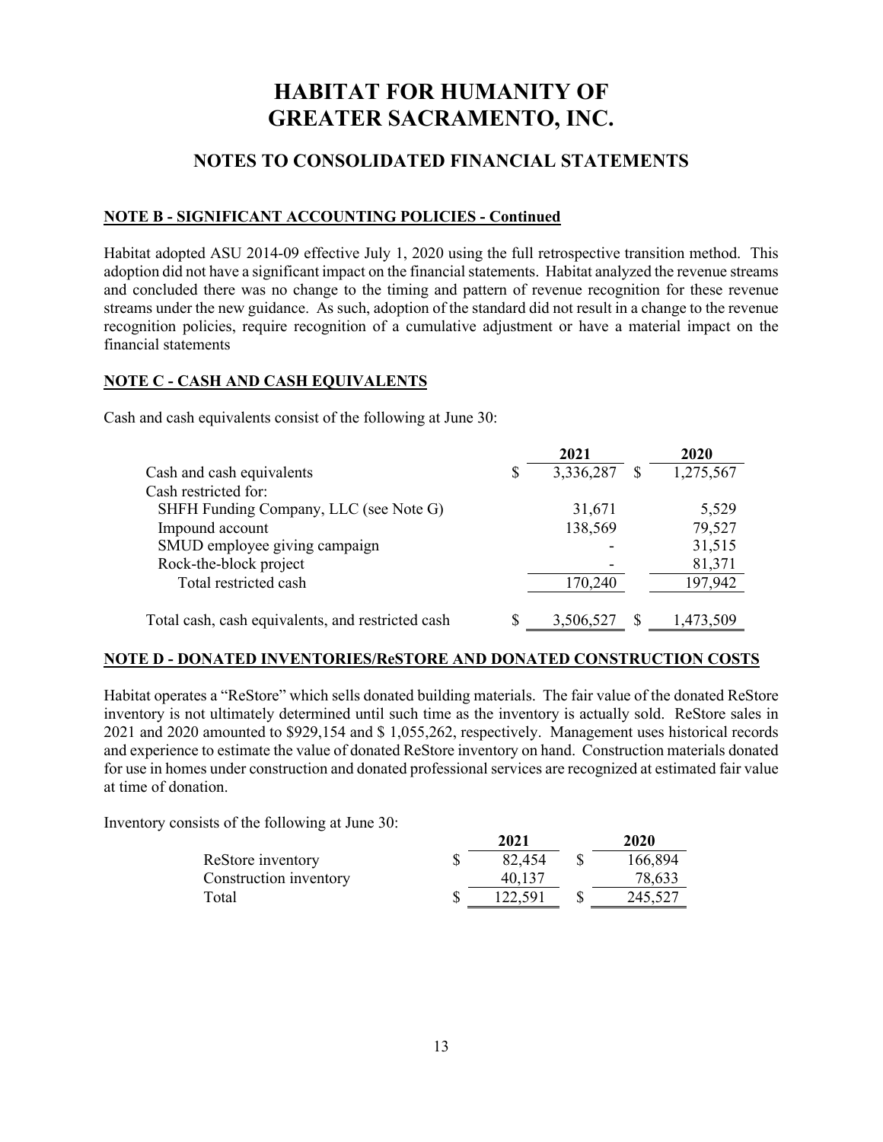### **NOTES TO CONSOLIDATED FINANCIAL STATEMENTS**

#### **NOTE B - SIGNIFICANT ACCOUNTING POLICIES - Continued**

Habitat adopted ASU 2014-09 effective July 1, 2020 using the full retrospective transition method. This adoption did not have a significant impact on the financial statements. Habitat analyzed the revenue streams and concluded there was no change to the timing and pattern of revenue recognition for these revenue streams under the new guidance. As such, adoption of the standard did not result in a change to the revenue recognition policies, require recognition of a cumulative adjustment or have a material impact on the financial statements

#### **NOTE C - CASH AND CASH EQUIVALENTS**

Cash and cash equivalents consist of the following at June 30:

|                                                   |    | 2021      | 2020      |
|---------------------------------------------------|----|-----------|-----------|
| Cash and cash equivalents                         | \$ | 3,336,287 | 1,275,567 |
| Cash restricted for:                              |    |           |           |
| SHFH Funding Company, LLC (see Note G)            |    | 31,671    | 5,529     |
| Impound account                                   |    | 138,569   | 79,527    |
| SMUD employee giving campaign                     |    |           | 31,515    |
| Rock-the-block project                            |    |           | 81,371    |
| Total restricted cash                             |    | 170,240   | 197,942   |
|                                                   |    |           |           |
| Total cash, cash equivalents, and restricted cash | S  | 3,506,527 | 1,473,509 |

#### **NOTE D - DONATED INVENTORIES/ReSTORE AND DONATED CONSTRUCTION COSTS**

Habitat operates a "ReStore" which sells donated building materials. The fair value of the donated ReStore inventory is not ultimately determined until such time as the inventory is actually sold. ReStore sales in 2021 and 2020 amounted to \$929,154 and \$ 1,055,262, respectively. Management uses historical records and experience to estimate the value of donated ReStore inventory on hand. Construction materials donated for use in homes under construction and donated professional services are recognized at estimated fair value at time of donation.

Inventory consists of the following at June 30:

|                        | $\overline{ }$ | $\boldsymbol{z}$ v $\boldsymbol{z}$ v |
|------------------------|----------------|---------------------------------------|
| ReStore inventory      | 82,454         | 166,894                               |
| Construction inventory | 40.137         | 78,633                                |
| Total                  | 122.591        | 245,527                               |

**2021 2020**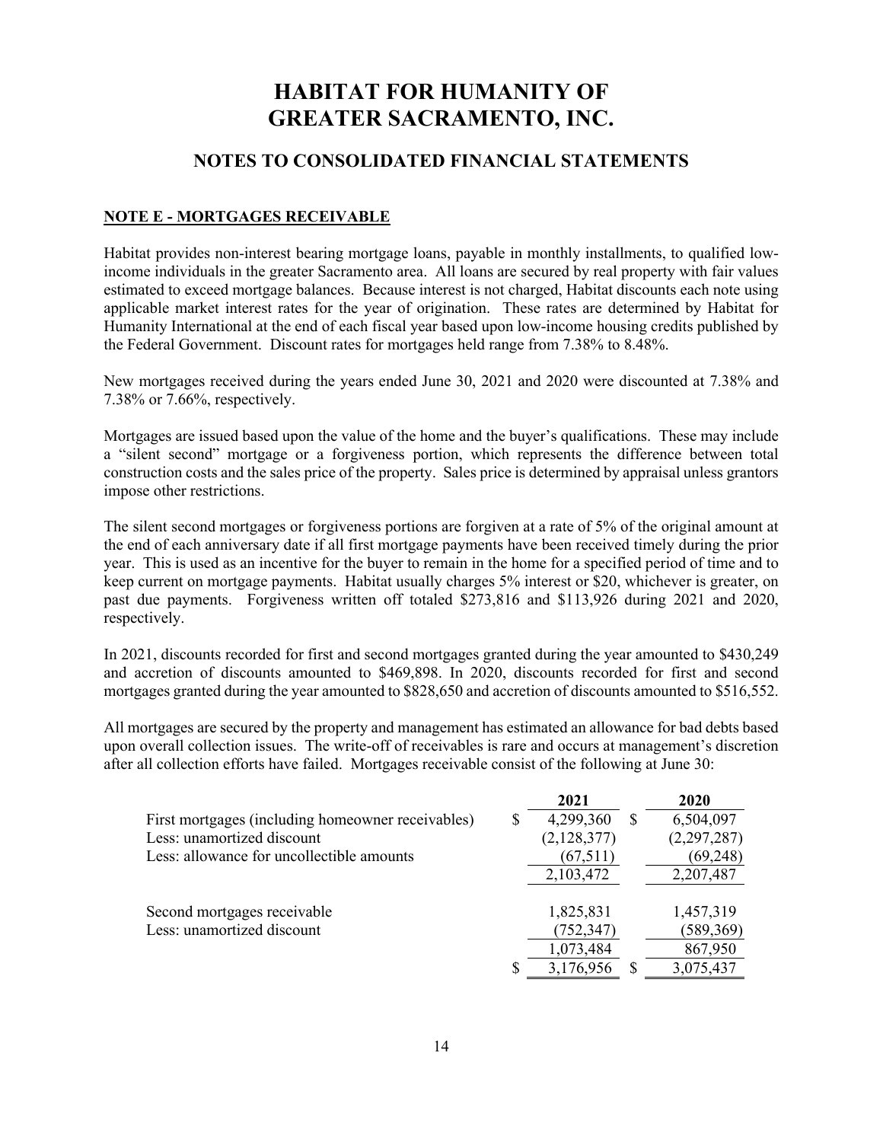### **NOTES TO CONSOLIDATED FINANCIAL STATEMENTS**

#### **NOTE E - MORTGAGES RECEIVABLE**

Habitat provides non-interest bearing mortgage loans, payable in monthly installments, to qualified lowincome individuals in the greater Sacramento area. All loans are secured by real property with fair values estimated to exceed mortgage balances. Because interest is not charged, Habitat discounts each note using applicable market interest rates for the year of origination. These rates are determined by Habitat for Humanity International at the end of each fiscal year based upon low-income housing credits published by the Federal Government. Discount rates for mortgages held range from 7.38% to 8.48%.

New mortgages received during the years ended June 30, 2021 and 2020 were discounted at 7.38% and 7.38% or 7.66%, respectively.

Mortgages are issued based upon the value of the home and the buyer's qualifications. These may include a "silent second" mortgage or a forgiveness portion, which represents the difference between total construction costs and the sales price of the property. Sales price is determined by appraisal unless grantors impose other restrictions.

The silent second mortgages or forgiveness portions are forgiven at a rate of 5% of the original amount at the end of each anniversary date if all first mortgage payments have been received timely during the prior year. This is used as an incentive for the buyer to remain in the home for a specified period of time and to keep current on mortgage payments. Habitat usually charges 5% interest or \$20, whichever is greater, on past due payments. Forgiveness written off totaled \$273,816 and \$113,926 during 2021 and 2020, respectively.

In 2021, discounts recorded for first and second mortgages granted during the year amounted to \$430,249 and accretion of discounts amounted to \$469,898. In 2020, discounts recorded for first and second mortgages granted during the year amounted to \$828,650 and accretion of discounts amounted to \$516,552.

All mortgages are secured by the property and management has estimated an allowance for bad debts based upon overall collection issues. The write-off of receivables is rare and occurs at management's discretion after all collection efforts have failed. Mortgages receivable consist of the following at June 30:

|                                                   | 2021            |   | 2020        |
|---------------------------------------------------|-----------------|---|-------------|
| First mortgages (including homeowner receivables) | \$<br>4,299,360 | S | 6,504,097   |
| Less: unamortized discount                        | (2,128,377)     |   | (2,297,287) |
| Less: allowance for uncollectible amounts         | (67,511)        |   | (69, 248)   |
|                                                   | 2,103,472       |   | 2,207,487   |
|                                                   |                 |   |             |
| Second mortgages receivable                       | 1,825,831       |   | 1,457,319   |
| Less: unamortized discount                        | (752, 347)      |   | (589, 369)  |
|                                                   | 1,073,484       |   | 867,950     |
|                                                   | \$<br>3,176,956 |   | 3,075,437   |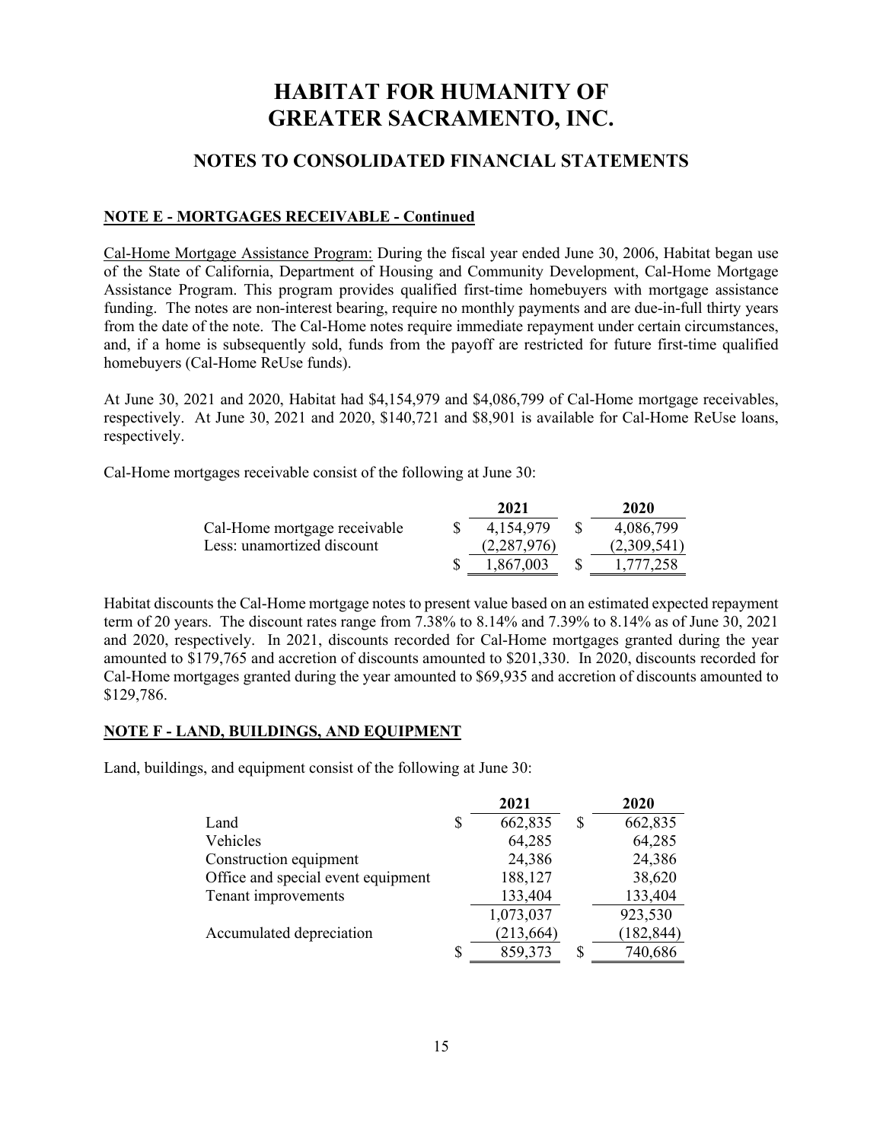### **NOTES TO CONSOLIDATED FINANCIAL STATEMENTS**

#### **NOTE E - MORTGAGES RECEIVABLE - Continued**

Cal-Home Mortgage Assistance Program: During the fiscal year ended June 30, 2006, Habitat began use of the State of California, Department of Housing and Community Development, Cal-Home Mortgage Assistance Program. This program provides qualified first-time homebuyers with mortgage assistance funding. The notes are non-interest bearing, require no monthly payments and are due-in-full thirty years from the date of the note. The Cal-Home notes require immediate repayment under certain circumstances, and, if a home is subsequently sold, funds from the payoff are restricted for future first-time qualified homebuyers (Cal-Home ReUse funds).

At June 30, 2021 and 2020, Habitat had \$4,154,979 and \$4,086,799 of Cal-Home mortgage receivables, respectively. At June 30, 2021 and 2020, \$140,721 and \$8,901 is available for Cal-Home ReUse loans, respectively.

Cal-Home mortgages receivable consist of the following at June 30:

|                              | 2021          | 2020        |
|------------------------------|---------------|-------------|
| Cal-Home mortgage receivable | 4,154,979     | 4,086,799   |
| Less: unamortized discount   | (2, 287, 976) | (2,309,541) |
|                              | 1,867,003     | 1,777,258   |

Habitat discounts the Cal-Home mortgage notes to present value based on an estimated expected repayment term of 20 years. The discount rates range from 7.38% to 8.14% and 7.39% to 8.14% as of June 30, 2021 and 2020, respectively. In 2021, discounts recorded for Cal-Home mortgages granted during the year amounted to \$179,765 and accretion of discounts amounted to \$201,330. In 2020, discounts recorded for Cal-Home mortgages granted during the year amounted to \$69,935 and accretion of discounts amounted to \$129,786.

#### **NOTE F - LAND, BUILDINGS, AND EQUIPMENT**

Land, buildings, and equipment consist of the following at June 30:

|                                    |   | 2021       |   | 2020       |
|------------------------------------|---|------------|---|------------|
| Land                               | S | 662,835    | S | 662,835    |
| Vehicles                           |   | 64,285     |   | 64,285     |
| Construction equipment             |   | 24,386     |   | 24,386     |
| Office and special event equipment |   | 188,127    |   | 38,620     |
| Tenant improvements                |   | 133,404    |   | 133,404    |
|                                    |   | 1,073,037  |   | 923,530    |
| Accumulated depreciation           |   | (213, 664) |   | (182, 844) |
|                                    | S | 859,373    | S | 740,686    |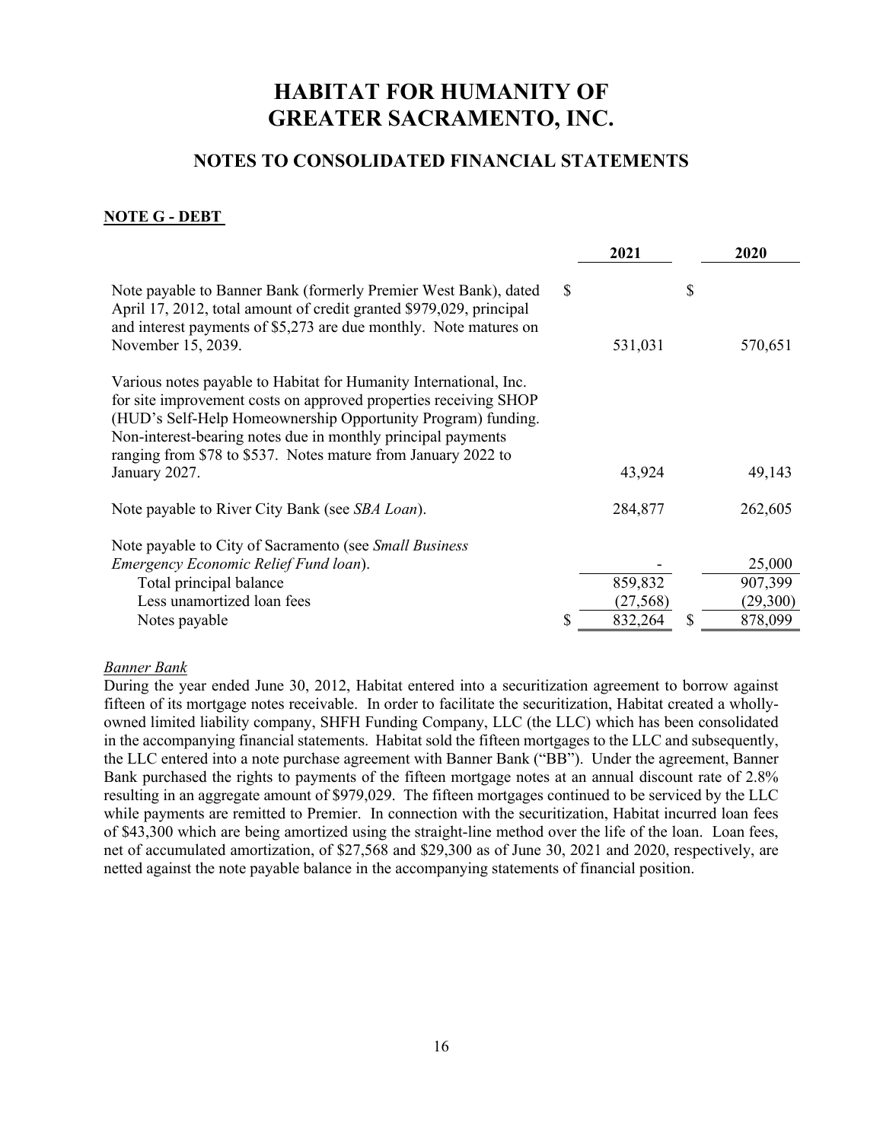### **NOTES TO CONSOLIDATED FINANCIAL STATEMENTS**

#### **NOTE G - DEBT**

|                                                                                                                                                                                                                                                                                                                                        |          | 2021      |   | 2020     |
|----------------------------------------------------------------------------------------------------------------------------------------------------------------------------------------------------------------------------------------------------------------------------------------------------------------------------------------|----------|-----------|---|----------|
| Note payable to Banner Bank (formerly Premier West Bank), dated<br>April 17, 2012, total amount of credit granted \$979,029, principal<br>and interest payments of \$5,273 are due monthly. Note matures on<br>November 15, 2039.                                                                                                      | <b>S</b> | 531,031   | S | 570,651  |
| Various notes payable to Habitat for Humanity International, Inc.<br>for site improvement costs on approved properties receiving SHOP<br>(HUD's Self-Help Homeownership Opportunity Program) funding.<br>Non-interest-bearing notes due in monthly principal payments<br>ranging from \$78 to \$537. Notes mature from January 2022 to |          |           |   |          |
| January 2027.                                                                                                                                                                                                                                                                                                                          |          | 43,924    |   | 49,143   |
| Note payable to River City Bank (see <i>SBA Loan</i> ).                                                                                                                                                                                                                                                                                |          | 284,877   |   | 262,605  |
| Note payable to City of Sacramento (see Small Business                                                                                                                                                                                                                                                                                 |          |           |   |          |
| Emergency Economic Relief Fund loan).                                                                                                                                                                                                                                                                                                  |          |           |   | 25,000   |
| Total principal balance                                                                                                                                                                                                                                                                                                                |          | 859,832   |   | 907,399  |
| Less unamortized loan fees                                                                                                                                                                                                                                                                                                             |          | (27, 568) |   | (29,300) |
| Notes payable                                                                                                                                                                                                                                                                                                                          | S        | 832,264   |   | 878,099  |

#### *Banner Bank*

During the year ended June 30, 2012, Habitat entered into a securitization agreement to borrow against fifteen of its mortgage notes receivable. In order to facilitate the securitization, Habitat created a whollyowned limited liability company, SHFH Funding Company, LLC (the LLC) which has been consolidated in the accompanying financial statements. Habitat sold the fifteen mortgages to the LLC and subsequently, the LLC entered into a note purchase agreement with Banner Bank ("BB"). Under the agreement, Banner Bank purchased the rights to payments of the fifteen mortgage notes at an annual discount rate of 2.8% resulting in an aggregate amount of \$979,029. The fifteen mortgages continued to be serviced by the LLC while payments are remitted to Premier. In connection with the securitization, Habitat incurred loan fees of \$43,300 which are being amortized using the straight-line method over the life of the loan. Loan fees, net of accumulated amortization, of \$27,568 and \$29,300 as of June 30, 2021 and 2020, respectively, are netted against the note payable balance in the accompanying statements of financial position.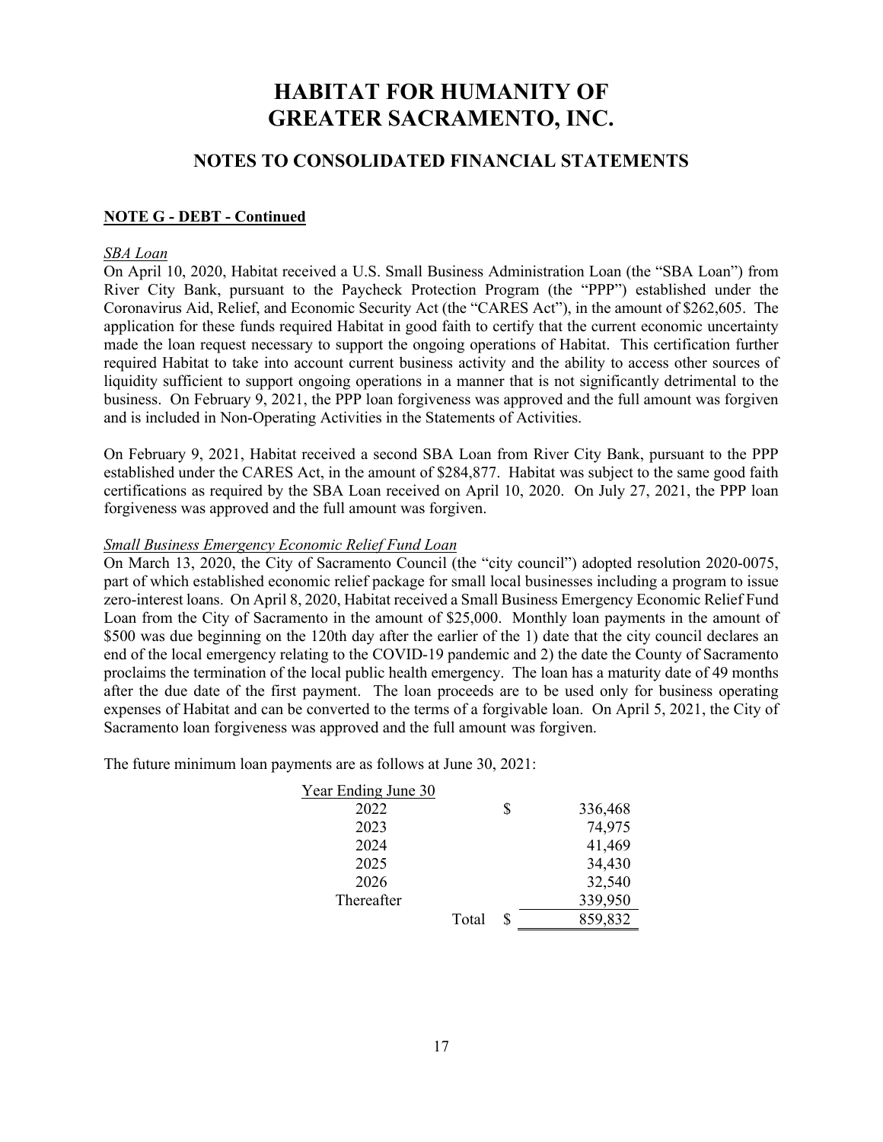#### **NOTES TO CONSOLIDATED FINANCIAL STATEMENTS**

#### **NOTE G - DEBT - Continued**

#### *SBA Loan*

On April 10, 2020, Habitat received a U.S. Small Business Administration Loan (the "SBA Loan") from River City Bank, pursuant to the Paycheck Protection Program (the "PPP") established under the Coronavirus Aid, Relief, and Economic Security Act (the "CARES Act"), in the amount of \$262,605. The application for these funds required Habitat in good faith to certify that the current economic uncertainty made the loan request necessary to support the ongoing operations of Habitat. This certification further required Habitat to take into account current business activity and the ability to access other sources of liquidity sufficient to support ongoing operations in a manner that is not significantly detrimental to the business. On February 9, 2021, the PPP loan forgiveness was approved and the full amount was forgiven and is included in Non-Operating Activities in the Statements of Activities.

On February 9, 2021, Habitat received a second SBA Loan from River City Bank, pursuant to the PPP established under the CARES Act, in the amount of \$284,877. Habitat was subject to the same good faith certifications as required by the SBA Loan received on April 10, 2020. On July 27, 2021, the PPP loan forgiveness was approved and the full amount was forgiven.

#### *Small Business Emergency Economic Relief Fund Loan*

On March 13, 2020, the City of Sacramento Council (the "city council") adopted resolution 2020-0075, part of which established economic relief package for small local businesses including a program to issue zero-interest loans. On April 8, 2020, Habitat received a Small Business Emergency Economic Relief Fund Loan from the City of Sacramento in the amount of \$25,000. Monthly loan payments in the amount of \$500 was due beginning on the 120th day after the earlier of the 1) date that the city council declares an end of the local emergency relating to the COVID-19 pandemic and 2) the date the County of Sacramento proclaims the termination of the local public health emergency. The loan has a maturity date of 49 months after the due date of the first payment. The loan proceeds are to be used only for business operating expenses of Habitat and can be converted to the terms of a forgivable loan. On April 5, 2021, the City of Sacramento loan forgiveness was approved and the full amount was forgiven.

The future minimum loan payments are as follows at June 30, 2021:

| Year Ending June 30 |       |               |
|---------------------|-------|---------------|
| 2022                |       | \$<br>336,468 |
| 2023                |       | 74,975        |
| 2024                |       | 41,469        |
| 2025                |       | 34,430        |
| 2026                |       | 32,540        |
| Thereafter          |       | 339,950       |
|                     | Total | 859,832       |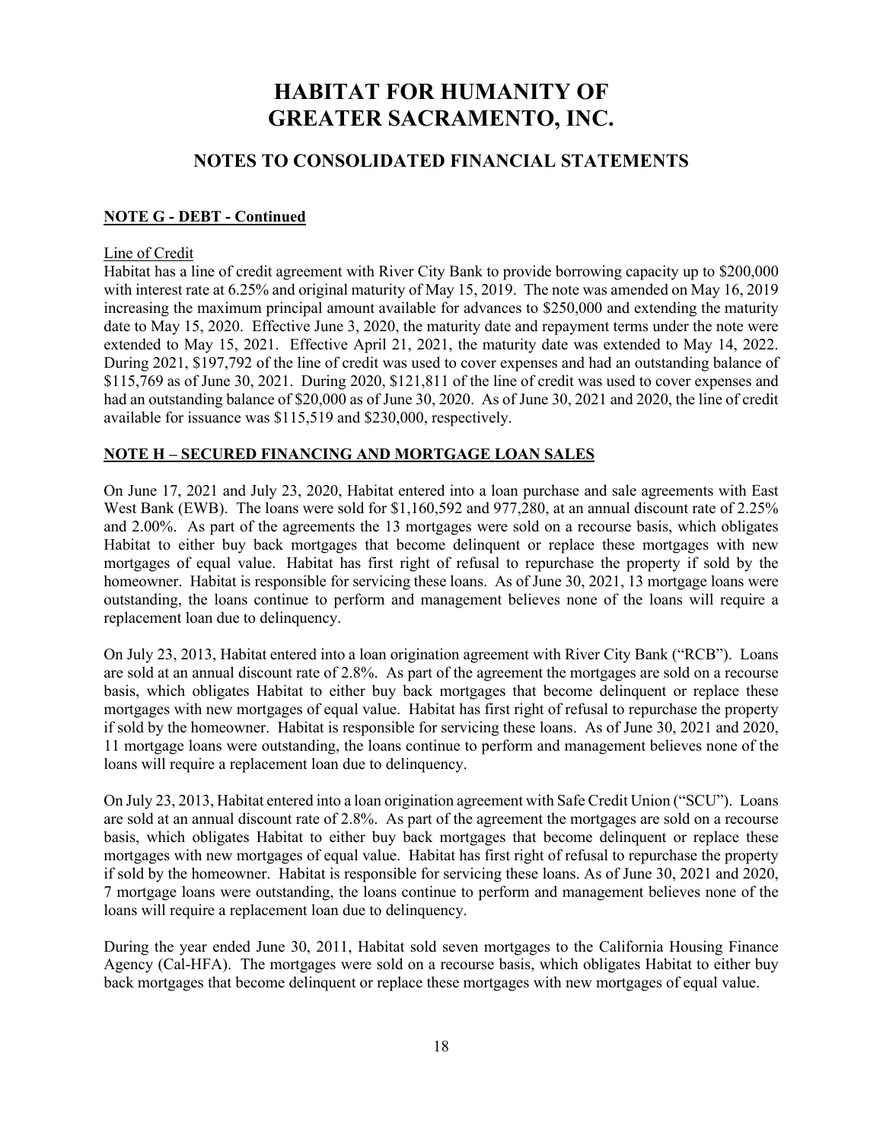### **NOTES TO CONSOLIDATED FINANCIAL STATEMENTS**

#### **NOTE G - DEBT - Continued**

#### Line of Credit

Habitat has a line of credit agreement with River City Bank to provide borrowing capacity up to \$200,000 with interest rate at 6.25% and original maturity of May 15, 2019. The note was amended on May 16, 2019 increasing the maximum principal amount available for advances to \$250,000 and extending the maturity date to May 15, 2020. Effective June 3, 2020, the maturity date and repayment terms under the note were extended to May 15, 2021. Effective April 21, 2021, the maturity date was extended to May 14, 2022. During 2021, \$197,792 of the line of credit was used to cover expenses and had an outstanding balance of \$115,769 as of June 30, 2021. During 2020, \$121,811 of the line of credit was used to cover expenses and had an outstanding balance of \$20,000 as of June 30, 2020. As of June 30, 2021 and 2020, the line of credit available for issuance was \$115,519 and \$230,000, respectively.

#### **NOTE H – SECURED FINANCING AND MORTGAGE LOAN SALES**

On June 17, 2021 and July 23, 2020, Habitat entered into a loan purchase and sale agreements with East West Bank (EWB). The loans were sold for \$1,160,592 and 977,280, at an annual discount rate of 2.25% and 2.00%. As part of the agreements the 13 mortgages were sold on a recourse basis, which obligates Habitat to either buy back mortgages that become delinquent or replace these mortgages with new mortgages of equal value. Habitat has first right of refusal to repurchase the property if sold by the homeowner. Habitat is responsible for servicing these loans. As of June 30, 2021, 13 mortgage loans were outstanding, the loans continue to perform and management believes none of the loans will require a replacement loan due to delinquency.

On July 23, 2013, Habitat entered into a loan origination agreement with River City Bank ("RCB"). Loans are sold at an annual discount rate of 2.8%. As part of the agreement the mortgages are sold on a recourse basis, which obligates Habitat to either buy back mortgages that become delinquent or replace these mortgages with new mortgages of equal value. Habitat has first right of refusal to repurchase the property if sold by the homeowner. Habitat is responsible for servicing these loans. As of June 30, 2021 and 2020, 11 mortgage loans were outstanding, the loans continue to perform and management believes none of the loans will require a replacement loan due to delinquency.

On July 23, 2013, Habitat entered into a loan origination agreement with Safe Credit Union ("SCU"). Loans are sold at an annual discount rate of 2.8%. As part of the agreement the mortgages are sold on a recourse basis, which obligates Habitat to either buy back mortgages that become delinquent or replace these mortgages with new mortgages of equal value. Habitat has first right of refusal to repurchase the property if sold by the homeowner. Habitat is responsible for servicing these loans. As of June 30, 2021 and 2020, 7 mortgage loans were outstanding, the loans continue to perform and management believes none of the loans will require a replacement loan due to delinquency.

During the year ended June 30, 2011, Habitat sold seven mortgages to the California Housing Finance Agency (Cal-HFA). The mortgages were sold on a recourse basis, which obligates Habitat to either buy back mortgages that become delinquent or replace these mortgages with new mortgages of equal value.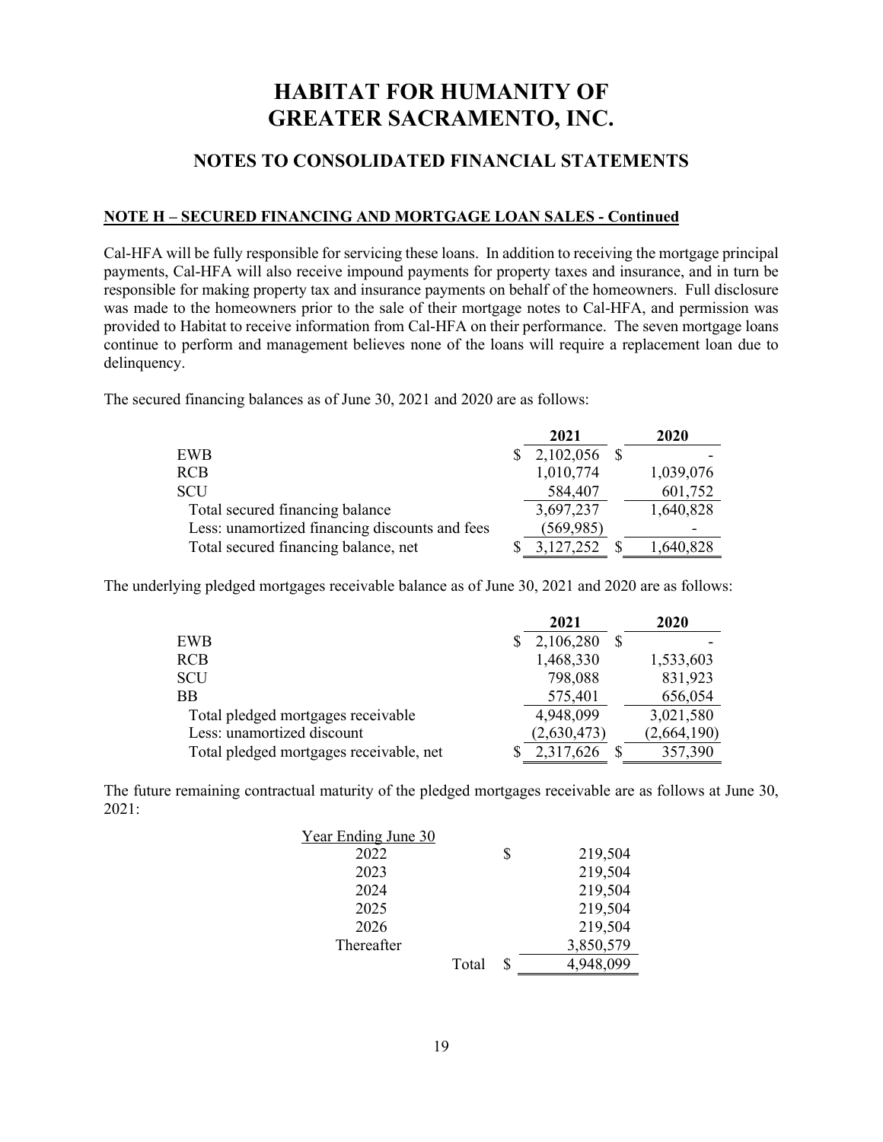### **NOTES TO CONSOLIDATED FINANCIAL STATEMENTS**

#### **NOTE H – SECURED FINANCING AND MORTGAGE LOAN SALES - Continued**

Cal-HFA will be fully responsible for servicing these loans. In addition to receiving the mortgage principal payments, Cal-HFA will also receive impound payments for property taxes and insurance, and in turn be responsible for making property tax and insurance payments on behalf of the homeowners. Full disclosure was made to the homeowners prior to the sale of their mortgage notes to Cal-HFA, and permission was provided to Habitat to receive information from Cal-HFA on their performance. The seven mortgage loans continue to perform and management believes none of the loans will require a replacement loan due to delinquency.

The secured financing balances as of June 30, 2021 and 2020 are as follows:

|                                                | 2021         | 2020      |
|------------------------------------------------|--------------|-----------|
| <b>EWB</b>                                     | 2,102,056 \$ |           |
| <b>RCB</b>                                     | 1,010,774    | 1,039,076 |
| <b>SCU</b>                                     | 584,407      | 601,752   |
| Total secured financing balance                | 3,697,237    | 1,640,828 |
| Less: unamortized financing discounts and fees | (569, 985)   |           |
| Total secured financing balance, net           | 3,127,252    | 1,640,828 |

The underlying pledged mortgages receivable balance as of June 30, 2021 and 2020 are as follows:

|                                         | 2021        |   | 2020        |
|-----------------------------------------|-------------|---|-------------|
| <b>EWB</b>                              | 2,106,280   | S |             |
| <b>RCB</b>                              | 1,468,330   |   | 1,533,603   |
| <b>SCU</b>                              | 798,088     |   | 831,923     |
| BB                                      | 575,401     |   | 656,054     |
| Total pledged mortgages receivable      | 4,948,099   |   | 3,021,580   |
| Less: unamortized discount              | (2,630,473) |   | (2,664,190) |
| Total pledged mortgages receivable, net | 2,317,626   |   | 357,390     |

The future remaining contractual maturity of the pledged mortgages receivable are as follows at June 30, 2021:

| Year Ending June 30 |       |               |
|---------------------|-------|---------------|
| 2022                |       | \$<br>219,504 |
| 2023                |       | 219,504       |
| 2024                |       | 219,504       |
| 2025                |       | 219,504       |
| 2026                |       | 219,504       |
| Thereafter          |       | 3,850,579     |
|                     | Total | 4.948,099     |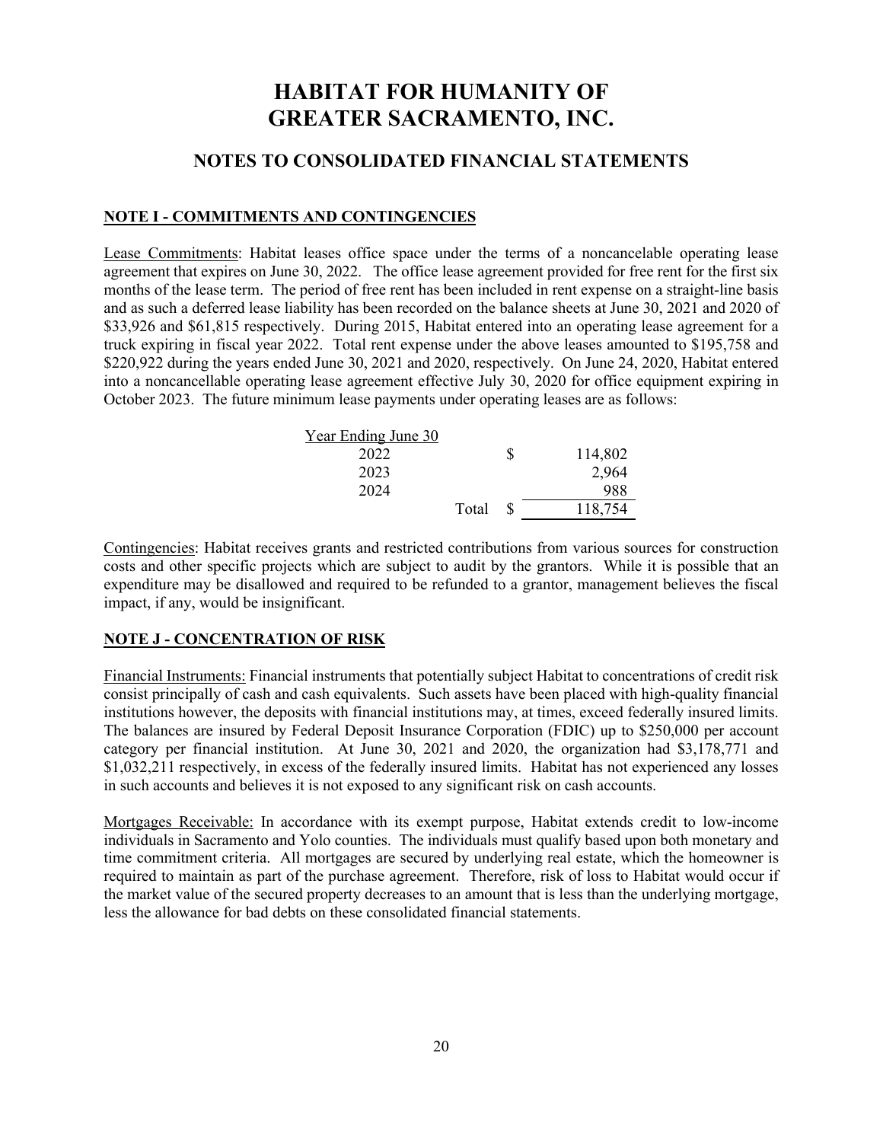### **NOTES TO CONSOLIDATED FINANCIAL STATEMENTS**

#### **NOTE I - COMMITMENTS AND CONTINGENCIES**

Lease Commitments: Habitat leases office space under the terms of a noncancelable operating lease agreement that expires on June 30, 2022. The office lease agreement provided for free rent for the first six months of the lease term. The period of free rent has been included in rent expense on a straight-line basis and as such a deferred lease liability has been recorded on the balance sheets at June 30, 2021 and 2020 of \$33,926 and \$61,815 respectively. During 2015, Habitat entered into an operating lease agreement for a truck expiring in fiscal year 2022. Total rent expense under the above leases amounted to \$195,758 and \$220,922 during the years ended June 30, 2021 and 2020, respectively. On June 24, 2020, Habitat entered into a noncancellable operating lease agreement effective July 30, 2020 for office equipment expiring in October 2023. The future minimum lease payments under operating leases are as follows:

| Year Ending June 30 |       |   |         |
|---------------------|-------|---|---------|
| 2022                |       | S | 114,802 |
| 2023                |       |   | 2,964   |
| 2024                |       |   | 988     |
|                     | Total |   | 118,754 |

Contingencies: Habitat receives grants and restricted contributions from various sources for construction costs and other specific projects which are subject to audit by the grantors. While it is possible that an expenditure may be disallowed and required to be refunded to a grantor, management believes the fiscal impact, if any, would be insignificant.

#### **NOTE J - CONCENTRATION OF RISK**

Financial Instruments: Financial instruments that potentially subject Habitat to concentrations of credit risk consist principally of cash and cash equivalents. Such assets have been placed with high-quality financial institutions however, the deposits with financial institutions may, at times, exceed federally insured limits. The balances are insured by Federal Deposit Insurance Corporation (FDIC) up to \$250,000 per account category per financial institution. At June 30, 2021 and 2020, the organization had \$3,178,771 and \$1,032,211 respectively, in excess of the federally insured limits. Habitat has not experienced any losses in such accounts and believes it is not exposed to any significant risk on cash accounts.

Mortgages Receivable: In accordance with its exempt purpose, Habitat extends credit to low-income individuals in Sacramento and Yolo counties. The individuals must qualify based upon both monetary and time commitment criteria. All mortgages are secured by underlying real estate, which the homeowner is required to maintain as part of the purchase agreement. Therefore, risk of loss to Habitat would occur if the market value of the secured property decreases to an amount that is less than the underlying mortgage, less the allowance for bad debts on these consolidated financial statements.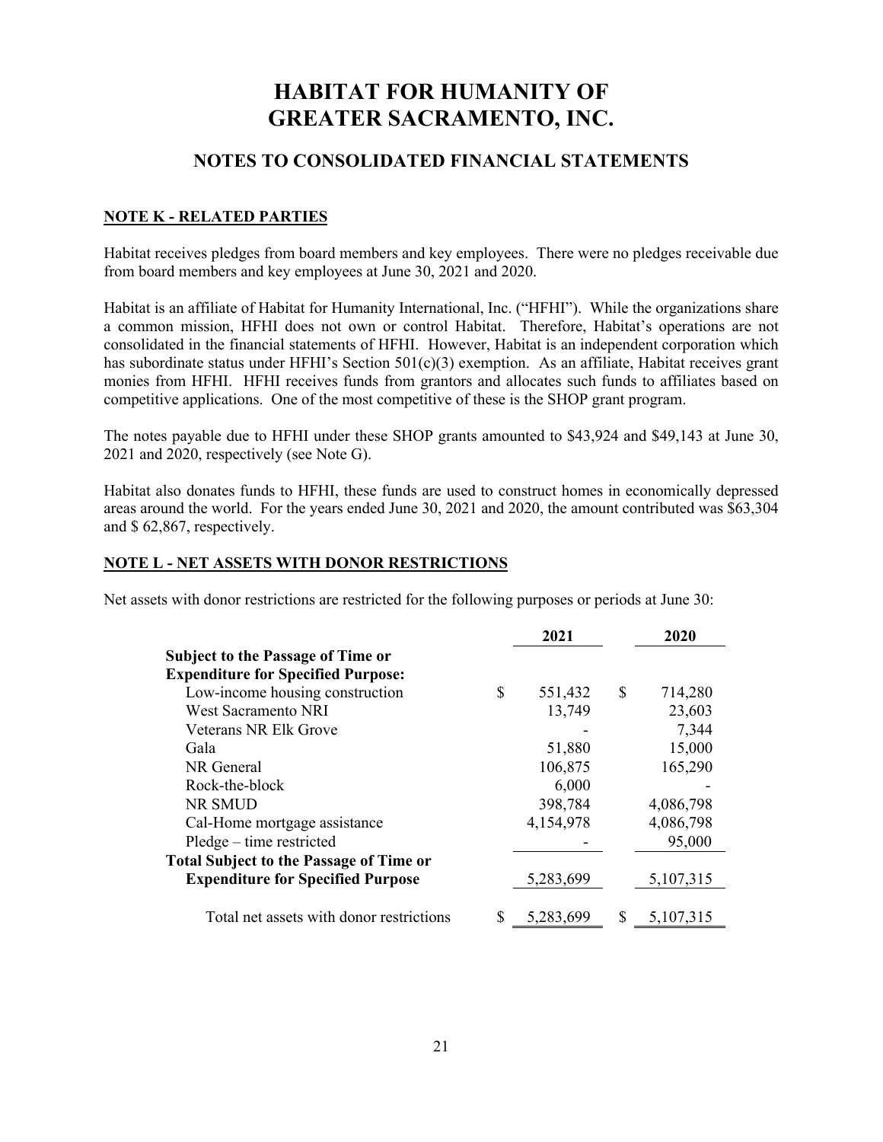### **NOTES TO CONSOLIDATED FINANCIAL STATEMENTS**

#### **NOTE K - RELATED PARTIES**

Habitat receives pledges from board members and key employees. There were no pledges receivable due from board members and key employees at June 30, 2021 and 2020.

Habitat is an affiliate of Habitat for Humanity International, Inc. ("HFHI"). While the organizations share a common mission, HFHI does not own or control Habitat. Therefore, Habitat's operations are not consolidated in the financial statements of HFHI. However, Habitat is an independent corporation which has subordinate status under HFHI's Section 501(c)(3) exemption. As an affiliate, Habitat receives grant monies from HFHI. HFHI receives funds from grantors and allocates such funds to affiliates based on competitive applications. One of the most competitive of these is the SHOP grant program.

The notes payable due to HFHI under these SHOP grants amounted to \$43,924 and \$49,143 at June 30, 2021 and 2020, respectively (see Note G).

Habitat also donates funds to HFHI, these funds are used to construct homes in economically depressed areas around the world. For the years ended June 30, 2021 and 2020, the amount contributed was \$63,304 and \$ 62,867, respectively.

#### **NOTE L - NET ASSETS WITH DONOR RESTRICTIONS**

Net assets with donor restrictions are restricted for the following purposes or periods at June 30:

|                                                |   | 2021      |          | 2020      |
|------------------------------------------------|---|-----------|----------|-----------|
| <b>Subject to the Passage of Time or</b>       |   |           |          |           |
| <b>Expenditure for Specified Purpose:</b>      |   |           |          |           |
| Low-income housing construction                | S | 551,432   | <b>S</b> | 714,280   |
| <b>West Sacramento NRI</b>                     |   | 13,749    |          | 23,603    |
| <b>Veterans NR Elk Grove</b>                   |   |           |          | 7,344     |
| Gala                                           |   | 51,880    |          | 15,000    |
| NR General                                     |   | 106,875   |          | 165,290   |
| Rock-the-block                                 |   | 6,000     |          |           |
| NR SMUD                                        |   | 398,784   |          | 4,086,798 |
| Cal-Home mortgage assistance                   |   | 4,154,978 |          | 4,086,798 |
| $P$ ledge – time restricted                    |   |           |          | 95,000    |
| <b>Total Subject to the Passage of Time or</b> |   |           |          |           |
| <b>Expenditure for Specified Purpose</b>       |   | 5,283,699 |          | 5,107,315 |
| Total net assets with donor restrictions       |   | 5,283,699 |          | 5,107,315 |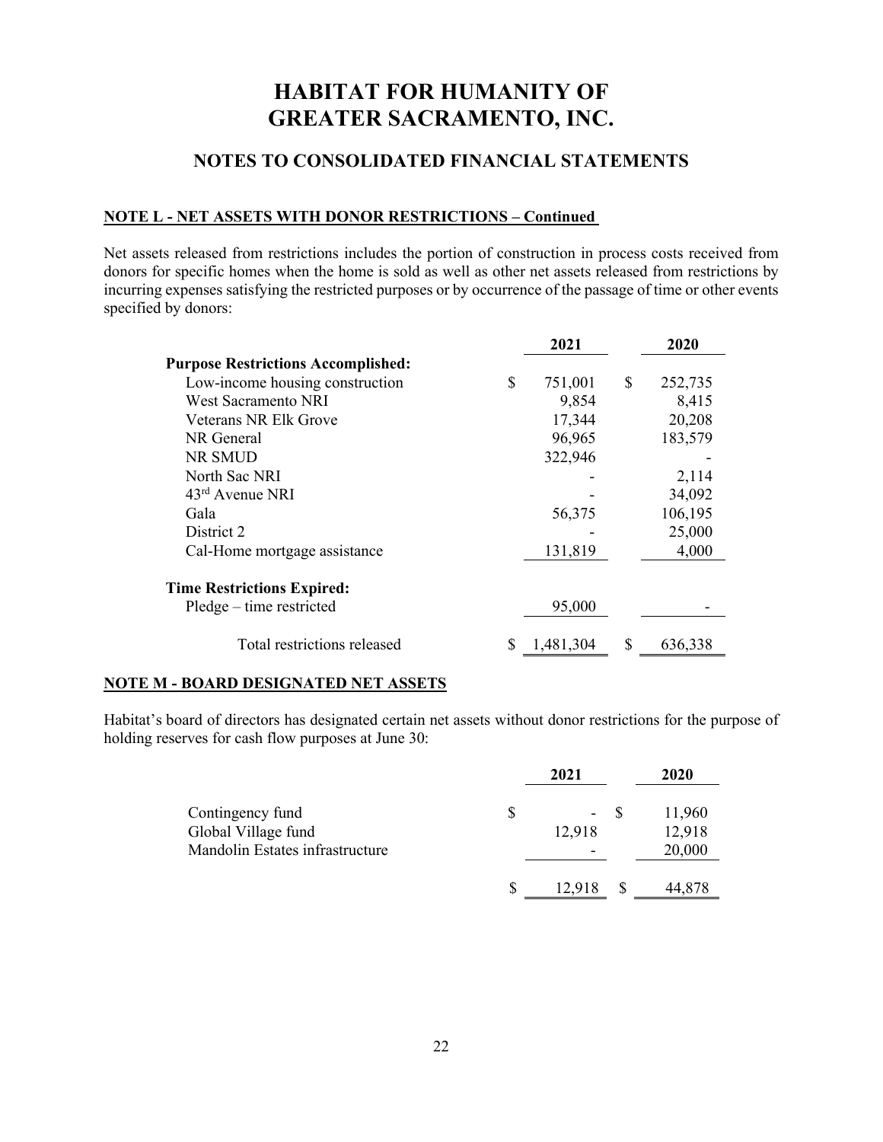## **NOTES TO CONSOLIDATED FINANCIAL STATEMENTS**

### **NOTE L - NET ASSETS WITH DONOR RESTRICTIONS – Continued**

Net assets released from restrictions includes the portion of construction in process costs received from donors for specific homes when the home is sold as well as other net assets released from restrictions by incurring expenses satisfying the restricted purposes or by occurrence of the passage of time or other events specified by donors:

|                                           | 2021            | 2020          |
|-------------------------------------------|-----------------|---------------|
| <b>Purpose Restrictions Accomplished:</b> |                 |               |
| Low-income housing construction           | \$<br>751,001   | \$<br>252,735 |
| <b>West Sacramento NRI</b>                | 9,854           | 8,415         |
| <b>Veterans NR Elk Grove</b>              | 17,344          | 20,208        |
| NR General                                | 96,965          | 183,579       |
| NR SMUD                                   | 322,946         |               |
| North Sac NRI                             |                 | 2,114         |
| $43rd$ Avenue NRI                         |                 | 34,092        |
| Gala                                      | 56,375          | 106,195       |
| District 2                                |                 | 25,000        |
| Cal-Home mortgage assistance              | 131,819         | 4,000         |
| <b>Time Restrictions Expired:</b>         |                 |               |
| $P$ ledge – time restricted               | 95,000          |               |
| Total restrictions released               | \$<br>1,481,304 | \$<br>636,338 |

#### **NOTE M - BOARD DESIGNATED NET ASSETS**

Habitat's board of directors has designated certain net assets without donor restrictions for the purpose of holding reserves for cash flow purposes at June 30:

|                                 | 2021   |       | 2020   |
|---------------------------------|--------|-------|--------|
| Contingency fund                |        | $-$ S | 11,960 |
| Global Village fund             | 12,918 |       | 12,918 |
| Mandolin Estates infrastructure |        |       | 20,000 |
|                                 | 12,918 |       | 44,878 |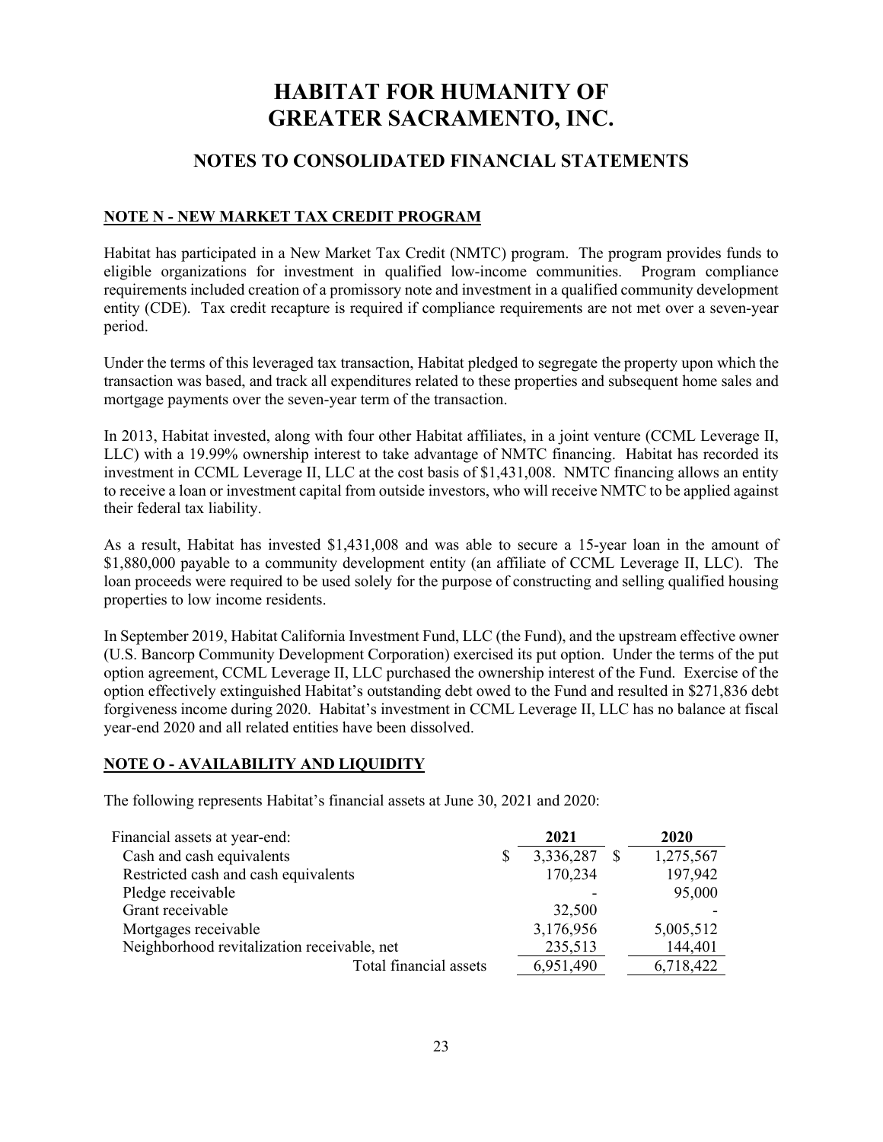### **NOTES TO CONSOLIDATED FINANCIAL STATEMENTS**

#### **NOTE N - NEW MARKET TAX CREDIT PROGRAM**

Habitat has participated in a New Market Tax Credit (NMTC) program. The program provides funds to eligible organizations for investment in qualified low-income communities. Program compliance requirements included creation of a promissory note and investment in a qualified community development entity (CDE). Tax credit recapture is required if compliance requirements are not met over a seven-year period.

Under the terms of this leveraged tax transaction, Habitat pledged to segregate the property upon which the transaction was based, and track all expenditures related to these properties and subsequent home sales and mortgage payments over the seven-year term of the transaction.

In 2013, Habitat invested, along with four other Habitat affiliates, in a joint venture (CCML Leverage II, LLC) with a 19.99% ownership interest to take advantage of NMTC financing. Habitat has recorded its investment in CCML Leverage II, LLC at the cost basis of \$1,431,008. NMTC financing allows an entity to receive a loan or investment capital from outside investors, who will receive NMTC to be applied against their federal tax liability.

As a result, Habitat has invested \$1,431,008 and was able to secure a 15-year loan in the amount of \$1,880,000 payable to a community development entity (an affiliate of CCML Leverage II, LLC). The loan proceeds were required to be used solely for the purpose of constructing and selling qualified housing properties to low income residents.

In September 2019, Habitat California Investment Fund, LLC (the Fund), and the upstream effective owner (U.S. Bancorp Community Development Corporation) exercised its put option. Under the terms of the put option agreement, CCML Leverage II, LLC purchased the ownership interest of the Fund. Exercise of the option effectively extinguished Habitat's outstanding debt owed to the Fund and resulted in \$271,836 debt forgiveness income during 2020. Habitat's investment in CCML Leverage II, LLC has no balance at fiscal year-end 2020 and all related entities have been dissolved.

#### **NOTE O - AVAILABILITY AND LIQUIDITY**

The following represents Habitat's financial assets at June 30, 2021 and 2020:

| Financial assets at year-end:               |   | 2021      | 2020      |
|---------------------------------------------|---|-----------|-----------|
| Cash and cash equivalents                   | S | 3,336,287 | 1,275,567 |
| Restricted cash and cash equivalents        |   | 170,234   | 197,942   |
| Pledge receivable                           |   |           | 95,000    |
| Grant receivable                            |   | 32,500    |           |
| Mortgages receivable                        |   | 3,176,956 | 5,005,512 |
| Neighborhood revitalization receivable, net |   | 235,513   | 144,401   |
| Total financial assets                      |   | 6,951,490 | 6,718,422 |